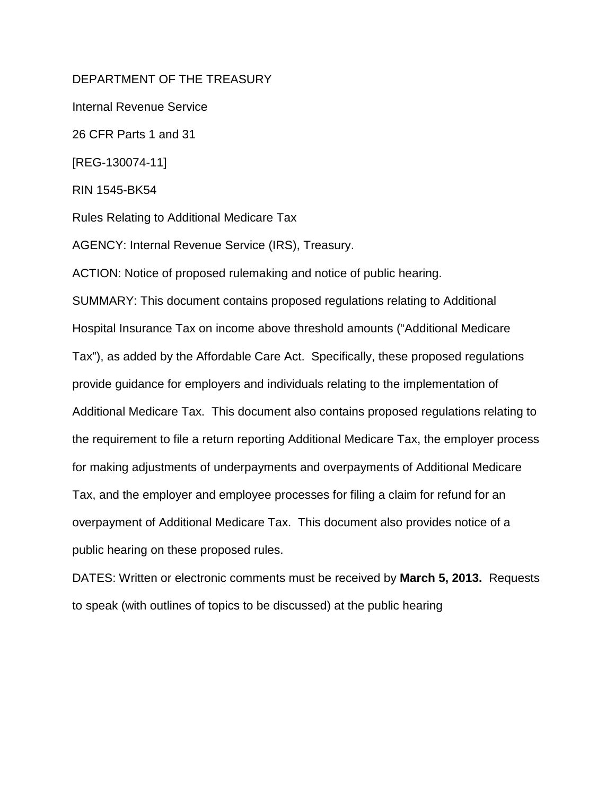# DEPARTMENT OF THE TREASURY

Internal Revenue Service

26 CFR Parts 1 and 31

[REG-130074-11]

RIN 1545-BK54

Rules Relating to Additional Medicare Tax

AGENCY: Internal Revenue Service (IRS), Treasury.

ACTION: Notice of proposed rulemaking and notice of public hearing.

SUMMARY: This document contains proposed regulations relating to Additional Hospital Insurance Tax on income above threshold amounts ("Additional Medicare Tax"), as added by the Affordable Care Act. Specifically, these proposed regulations provide guidance for employers and individuals relating to the implementation of Additional Medicare Tax. This document also contains proposed regulations relating to the requirement to file a return reporting Additional Medicare Tax, the employer process for making adjustments of underpayments and overpayments of Additional Medicare Tax, and the employer and employee processes for filing a claim for refund for an overpayment of Additional Medicare Tax. This document also provides notice of a public hearing on these proposed rules.

DATES: Written or electronic comments must be received by **March 5, 2013.** Requests to speak (with outlines of topics to be discussed) at the public hearing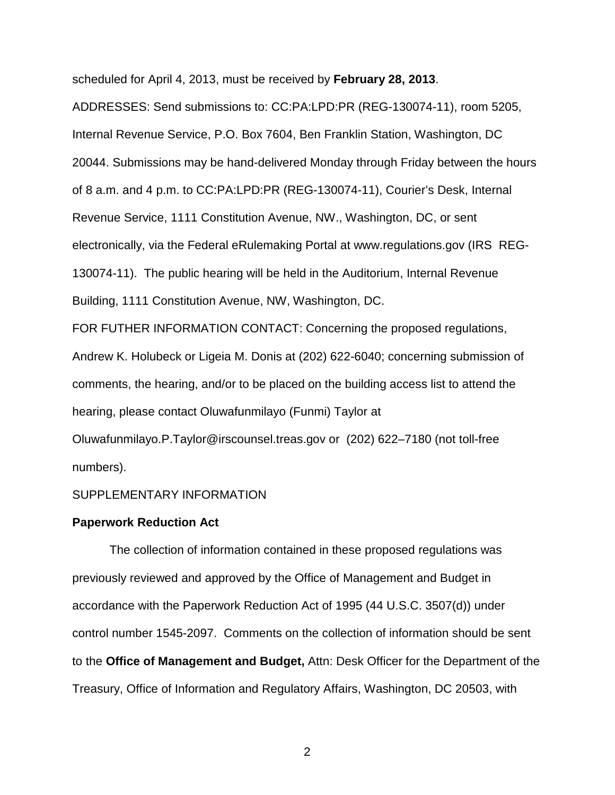scheduled for April 4, 2013, must be received by **February 28, 2013**.

ADDRESSES: Send submissions to: CC:PA:LPD:PR (REG-130074-11), room 5205, Internal Revenue Service, P.O. Box 7604, Ben Franklin Station, Washington, DC 20044. Submissions may be hand-delivered Monday through Friday between the hours of 8 a.m. and 4 p.m. to CC:PA:LPD:PR (REG-130074-11), Courier's Desk, Internal Revenue Service, 1111 Constitution Avenue, NW., Washington, DC, or sent electronically, via the Federal eRulemaking Portal at www.regulations.gov (IRS REG-130074-11). The public hearing will be held in the Auditorium, Internal Revenue Building, 1111 Constitution Avenue, NW, Washington, DC.

FOR FUTHER INFORMATION CONTACT: Concerning the proposed regulations, Andrew K. Holubeck or Ligeia M. Donis at (202) 622-6040; concerning submission of comments, the hearing, and/or to be placed on the building access list to attend the hearing, please contact Oluwafunmilayo (Funmi) Taylor at Oluwafunmilayo.P.Taylor@irscounsel.treas.gov or (202) 622–7180 (not toll-free numbers).

#### SUPPLEMENTARY INFORMATION

#### **Paperwork Reduction Act**

The collection of information contained in these proposed regulations was previously reviewed and approved by the Office of Management and Budget in accordance with the Paperwork Reduction Act of 1995 (44 U.S.C. 3507(d)) under control number 1545-2097. Comments on the collection of information should be sent to the **Office of Management and Budget,** Attn: Desk Officer for the Department of the Treasury, Office of Information and Regulatory Affairs, Washington, DC 20503, with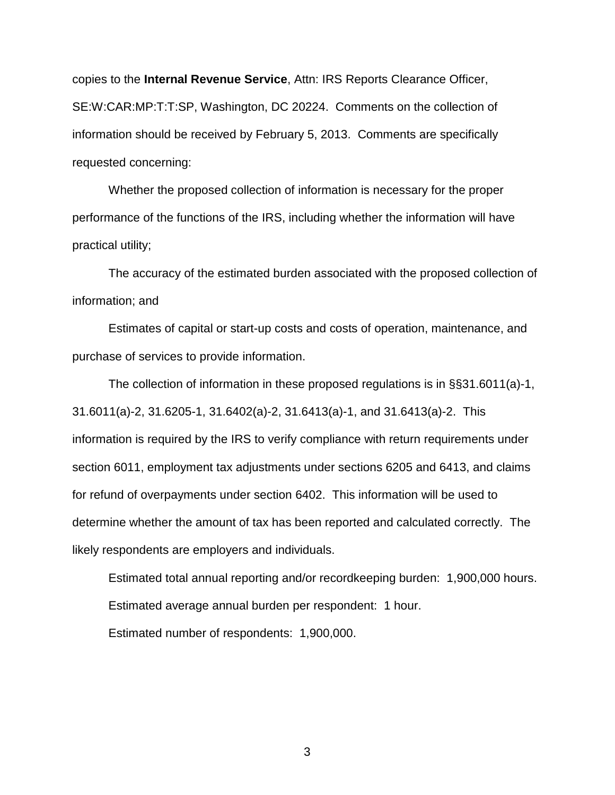copies to the **Internal Revenue Service**, Attn: IRS Reports Clearance Officer, SE:W:CAR:MP:T:T:SP, Washington, DC 20224. Comments on the collection of information should be received by February 5, 2013. Comments are specifically requested concerning:

Whether the proposed collection of information is necessary for the proper performance of the functions of the IRS, including whether the information will have practical utility;

The accuracy of the estimated burden associated with the proposed collection of information; and

Estimates of capital or start-up costs and costs of operation, maintenance, and purchase of services to provide information.

The collection of information in these proposed regulations is in §§31.6011(a)-1, 31.6011(a)-2, 31.6205-1, 31.6402(a)-2, 31.6413(a)-1, and 31.6413(a)-2. This information is required by the IRS to verify compliance with return requirements under section 6011, employment tax adjustments under sections 6205 and 6413, and claims for refund of overpayments under section 6402. This information will be used to determine whether the amount of tax has been reported and calculated correctly. The likely respondents are employers and individuals.

Estimated total annual reporting and/or recordkeeping burden: 1,900,000 hours. Estimated average annual burden per respondent: 1 hour. Estimated number of respondents: 1,900,000.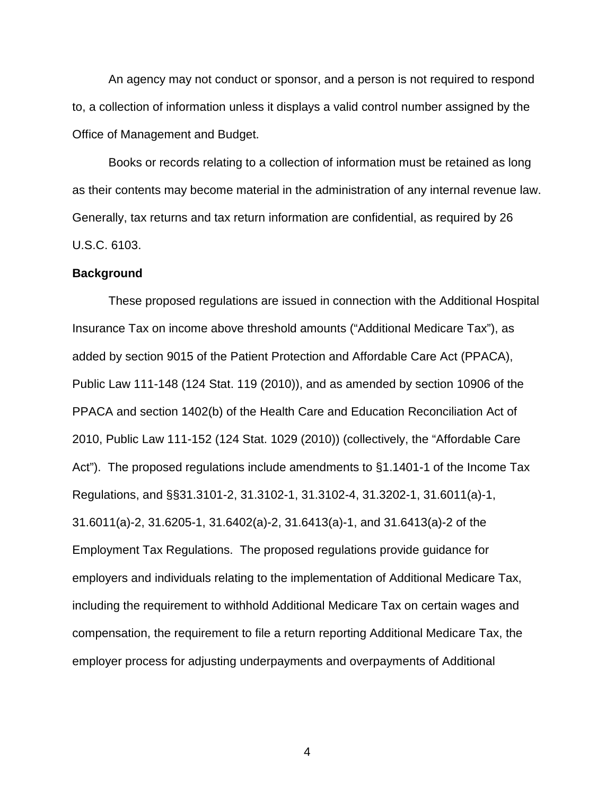An agency may not conduct or sponsor, and a person is not required to respond to, a collection of information unless it displays a valid control number assigned by the Office of Management and Budget.

Books or records relating to a collection of information must be retained as long as their contents may become material in the administration of any internal revenue law. Generally, tax returns and tax return information are confidential, as required by 26 U.S.C. 6103.

#### **Background**

 These proposed regulations are issued in connection with the Additional Hospital Insurance Tax on income above threshold amounts ("Additional Medicare Tax"), as added by section 9015 of the Patient Protection and Affordable Care Act (PPACA), Public Law 111-148 (124 Stat. 119 (2010)), and as amended by section 10906 of the PPACA and section 1402(b) of the Health Care and Education Reconciliation Act of 2010, Public Law 111-152 (124 Stat. 1029 (2010)) (collectively, the "Affordable Care Act"). The proposed regulations include amendments to §1.1401-1 of the Income Tax Regulations, and §§31.3101-2, 31.3102-1, 31.3102-4, 31.3202-1, 31.6011(a)-1, 31.6011(a)-2, 31.6205-1, 31.6402(a)-2, 31.6413(a)-1, and 31.6413(a)-2 of the Employment Tax Regulations. The proposed regulations provide guidance for employers and individuals relating to the implementation of Additional Medicare Tax, including the requirement to withhold Additional Medicare Tax on certain wages and compensation, the requirement to file a return reporting Additional Medicare Tax, the employer process for adjusting underpayments and overpayments of Additional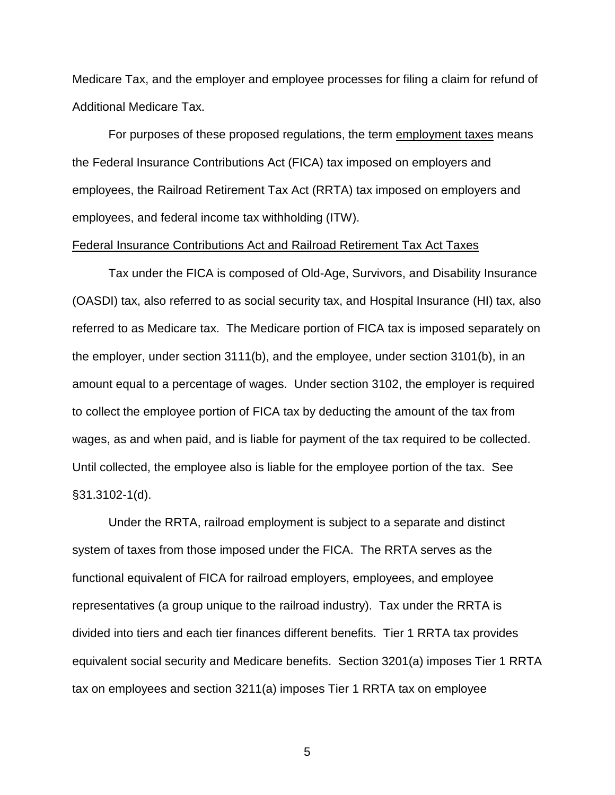Medicare Tax, and the employer and employee processes for filing a claim for refund of Additional Medicare Tax.

 For purposes of these proposed regulations, the term employment taxes means the Federal Insurance Contributions Act (FICA) tax imposed on employers and employees, the Railroad Retirement Tax Act (RRTA) tax imposed on employers and employees, and federal income tax withholding (ITW).

## Federal Insurance Contributions Act and Railroad Retirement Tax Act Taxes

 Tax under the FICA is composed of Old-Age, Survivors, and Disability Insurance (OASDI) tax, also referred to as social security tax, and Hospital Insurance (HI) tax, also referred to as Medicare tax. The Medicare portion of FICA tax is imposed separately on the employer, under section 3111(b), and the employee, under section 3101(b), in an amount equal to a percentage of wages. Under section 3102, the employer is required to collect the employee portion of FICA tax by deducting the amount of the tax from wages, as and when paid, and is liable for payment of the tax required to be collected. Until collected, the employee also is liable for the employee portion of the tax. See §31.3102-1(d).

 Under the RRTA, railroad employment is subject to a separate and distinct system of taxes from those imposed under the FICA. The RRTA serves as the functional equivalent of FICA for railroad employers, employees, and employee representatives (a group unique to the railroad industry). Tax under the RRTA is divided into tiers and each tier finances different benefits. Tier 1 RRTA tax provides equivalent social security and Medicare benefits. Section 3201(a) imposes Tier 1 RRTA tax on employees and section 3211(a) imposes Tier 1 RRTA tax on employee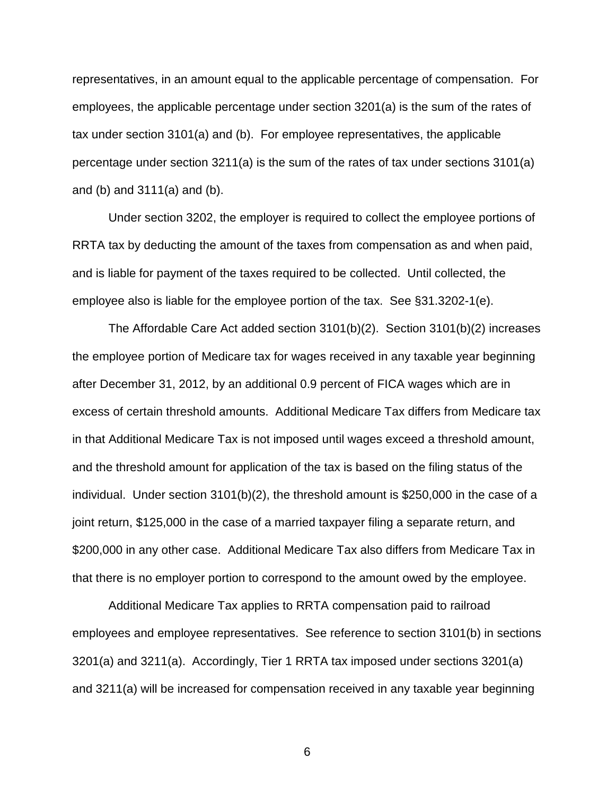representatives, in an amount equal to the applicable percentage of compensation. For employees, the applicable percentage under section 3201(a) is the sum of the rates of tax under section 3101(a) and (b). For employee representatives, the applicable percentage under section 3211(a) is the sum of the rates of tax under sections 3101(a) and (b) and 3111(a) and (b).

Under section 3202, the employer is required to collect the employee portions of RRTA tax by deducting the amount of the taxes from compensation as and when paid, and is liable for payment of the taxes required to be collected. Until collected, the employee also is liable for the employee portion of the tax. See §31.3202-1(e).

 The Affordable Care Act added section 3101(b)(2). Section 3101(b)(2) increases the employee portion of Medicare tax for wages received in any taxable year beginning after December 31, 2012, by an additional 0.9 percent of FICA wages which are in excess of certain threshold amounts. Additional Medicare Tax differs from Medicare tax in that Additional Medicare Tax is not imposed until wages exceed a threshold amount, and the threshold amount for application of the tax is based on the filing status of the individual. Under section 3101(b)(2), the threshold amount is \$250,000 in the case of a joint return, \$125,000 in the case of a married taxpayer filing a separate return, and \$200,000 in any other case. Additional Medicare Tax also differs from Medicare Tax in that there is no employer portion to correspond to the amount owed by the employee.

Additional Medicare Tax applies to RRTA compensation paid to railroad employees and employee representatives. See reference to section 3101(b) in sections 3201(a) and 3211(a). Accordingly, Tier 1 RRTA tax imposed under sections 3201(a) and 3211(a) will be increased for compensation received in any taxable year beginning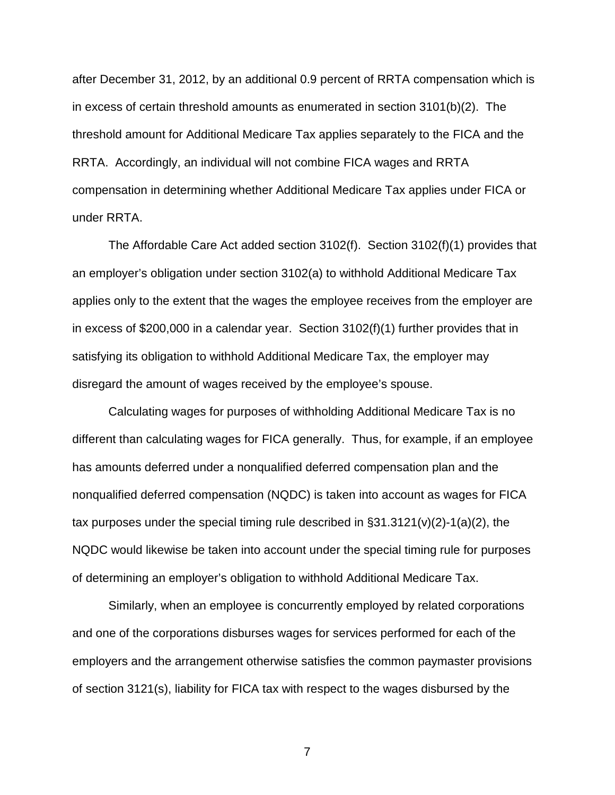after December 31, 2012, by an additional 0.9 percent of RRTA compensation which is in excess of certain threshold amounts as enumerated in section 3101(b)(2). The threshold amount for Additional Medicare Tax applies separately to the FICA and the RRTA. Accordingly, an individual will not combine FICA wages and RRTA compensation in determining whether Additional Medicare Tax applies under FICA or under RRTA.

 The Affordable Care Act added section 3102(f). Section 3102(f)(1) provides that an employer's obligation under section 3102(a) to withhold Additional Medicare Tax applies only to the extent that the wages the employee receives from the employer are in excess of \$200,000 in a calendar year. Section 3102(f)(1) further provides that in satisfying its obligation to withhold Additional Medicare Tax, the employer may disregard the amount of wages received by the employee's spouse.

 Calculating wages for purposes of withholding Additional Medicare Tax is no different than calculating wages for FICA generally. Thus, for example, if an employee has amounts deferred under a nonqualified deferred compensation plan and the nonqualified deferred compensation (NQDC) is taken into account as wages for FICA tax purposes under the special timing rule described in §31.3121(v)(2)-1(a)(2), the NQDC would likewise be taken into account under the special timing rule for purposes of determining an employer's obligation to withhold Additional Medicare Tax.

Similarly, when an employee is concurrently employed by related corporations and one of the corporations disburses wages for services performed for each of the employers and the arrangement otherwise satisfies the common paymaster provisions of section 3121(s), liability for FICA tax with respect to the wages disbursed by the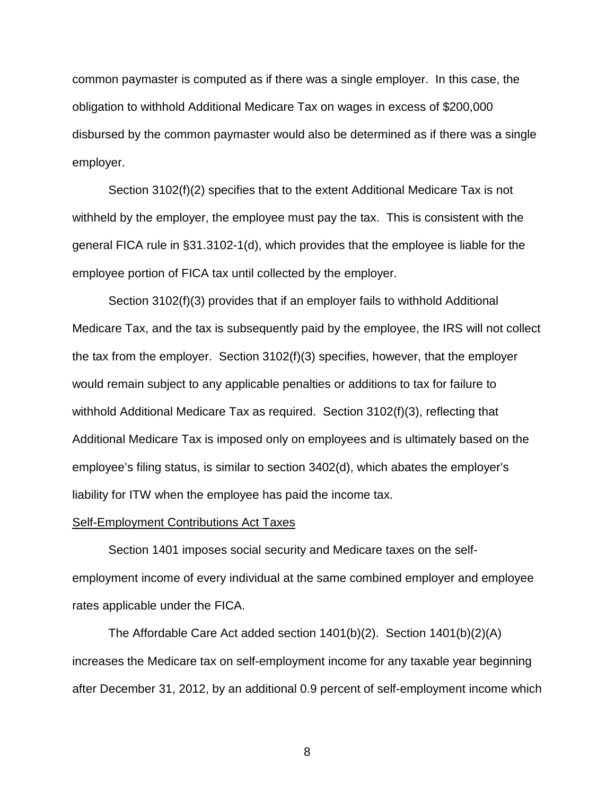common paymaster is computed as if there was a single employer. In this case, the obligation to withhold Additional Medicare Tax on wages in excess of \$200,000 disbursed by the common paymaster would also be determined as if there was a single employer.

 Section 3102(f)(2) specifies that to the extent Additional Medicare Tax is not withheld by the employer, the employee must pay the tax. This is consistent with the general FICA rule in §31.3102-1(d), which provides that the employee is liable for the employee portion of FICA tax until collected by the employer.

 Section 3102(f)(3) provides that if an employer fails to withhold Additional Medicare Tax, and the tax is subsequently paid by the employee, the IRS will not collect the tax from the employer. Section 3102(f)(3) specifies, however, that the employer would remain subject to any applicable penalties or additions to tax for failure to withhold Additional Medicare Tax as required. Section 3102(f)(3), reflecting that Additional Medicare Tax is imposed only on employees and is ultimately based on the employee's filing status, is similar to section 3402(d), which abates the employer's liability for ITW when the employee has paid the income tax.

#### Self-Employment Contributions Act Taxes

Section 1401 imposes social security and Medicare taxes on the selfemployment income of every individual at the same combined employer and employee rates applicable under the FICA.

The Affordable Care Act added section 1401(b)(2). Section 1401(b)(2)(A) increases the Medicare tax on self-employment income for any taxable year beginning after December 31, 2012, by an additional 0.9 percent of self-employment income which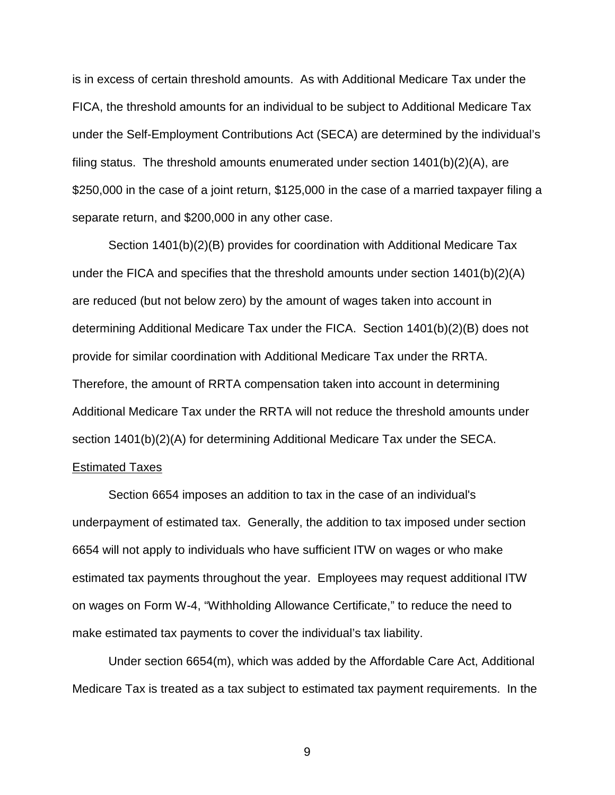is in excess of certain threshold amounts. As with Additional Medicare Tax under the FICA, the threshold amounts for an individual to be subject to Additional Medicare Tax under the Self-Employment Contributions Act (SECA) are determined by the individual's filing status. The threshold amounts enumerated under section 1401(b)(2)(A), are \$250,000 in the case of a joint return, \$125,000 in the case of a married taxpayer filing a separate return, and \$200,000 in any other case.

 Section 1401(b)(2)(B) provides for coordination with Additional Medicare Tax under the FICA and specifies that the threshold amounts under section 1401(b)(2)(A) are reduced (but not below zero) by the amount of wages taken into account in determining Additional Medicare Tax under the FICA. Section 1401(b)(2)(B) does not provide for similar coordination with Additional Medicare Tax under the RRTA. Therefore, the amount of RRTA compensation taken into account in determining Additional Medicare Tax under the RRTA will not reduce the threshold amounts under section 1401(b)(2)(A) for determining Additional Medicare Tax under the SECA. Estimated Taxes

# Section 6654 imposes an addition to tax in the case of an individual's underpayment of estimated tax. Generally, the addition to tax imposed under section 6654 will not apply to individuals who have sufficient ITW on wages or who make estimated tax payments throughout the year. Employees may request additional ITW on wages on Form W-4, "Withholding Allowance Certificate," to reduce the need to make estimated tax payments to cover the individual's tax liability.

Under section 6654(m), which was added by the Affordable Care Act, Additional Medicare Tax is treated as a tax subject to estimated tax payment requirements. In the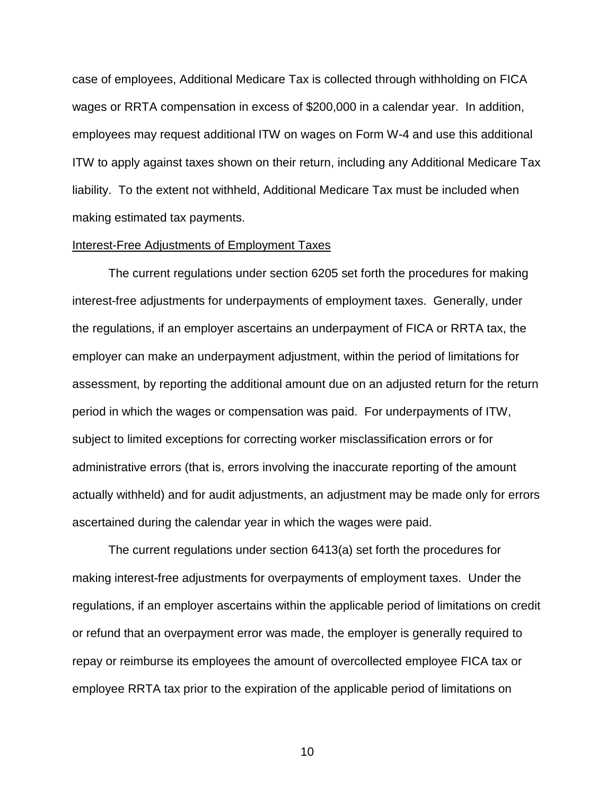case of employees, Additional Medicare Tax is collected through withholding on FICA wages or RRTA compensation in excess of \$200,000 in a calendar year. In addition, employees may request additional ITW on wages on Form W-4 and use this additional ITW to apply against taxes shown on their return, including any Additional Medicare Tax liability. To the extent not withheld, Additional Medicare Tax must be included when making estimated tax payments.

#### Interest-Free Adjustments of Employment Taxes

The current regulations under section 6205 set forth the procedures for making interest-free adjustments for underpayments of employment taxes. Generally, under the regulations, if an employer ascertains an underpayment of FICA or RRTA tax, the employer can make an underpayment adjustment, within the period of limitations for assessment, by reporting the additional amount due on an adjusted return for the return period in which the wages or compensation was paid. For underpayments of ITW, subject to limited exceptions for correcting worker misclassification errors or for administrative errors (that is, errors involving the inaccurate reporting of the amount actually withheld) and for audit adjustments, an adjustment may be made only for errors ascertained during the calendar year in which the wages were paid.

The current regulations under section 6413(a) set forth the procedures for making interest-free adjustments for overpayments of employment taxes. Under the regulations, if an employer ascertains within the applicable period of limitations on credit or refund that an overpayment error was made, the employer is generally required to repay or reimburse its employees the amount of overcollected employee FICA tax or employee RRTA tax prior to the expiration of the applicable period of limitations on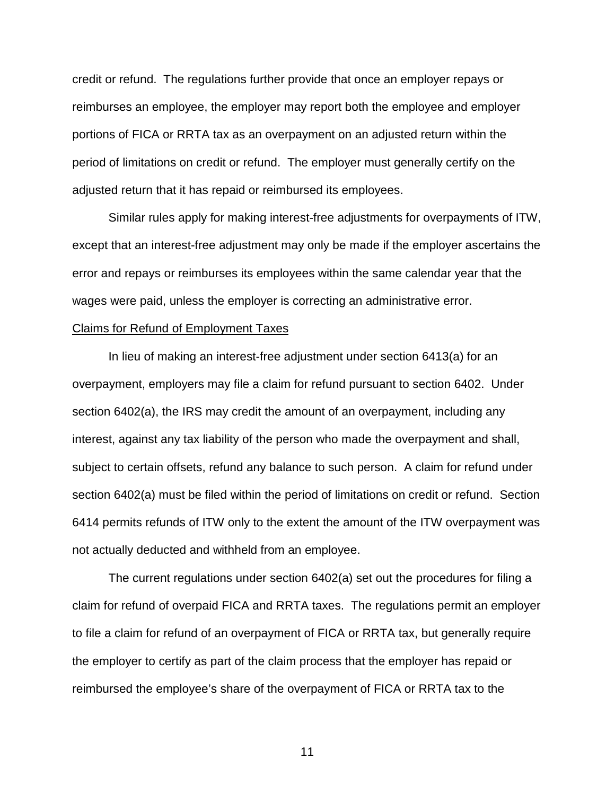credit or refund. The regulations further provide that once an employer repays or reimburses an employee, the employer may report both the employee and employer portions of FICA or RRTA tax as an overpayment on an adjusted return within the period of limitations on credit or refund. The employer must generally certify on the adjusted return that it has repaid or reimbursed its employees.

Similar rules apply for making interest-free adjustments for overpayments of ITW, except that an interest-free adjustment may only be made if the employer ascertains the error and repays or reimburses its employees within the same calendar year that the wages were paid, unless the employer is correcting an administrative error.

#### Claims for Refund of Employment Taxes

In lieu of making an interest-free adjustment under section 6413(a) for an overpayment, employers may file a claim for refund pursuant to section 6402. Under section 6402(a), the IRS may credit the amount of an overpayment, including any interest, against any tax liability of the person who made the overpayment and shall, subject to certain offsets, refund any balance to such person. A claim for refund under section 6402(a) must be filed within the period of limitations on credit or refund. Section 6414 permits refunds of ITW only to the extent the amount of the ITW overpayment was not actually deducted and withheld from an employee.

The current regulations under section 6402(a) set out the procedures for filing a claim for refund of overpaid FICA and RRTA taxes. The regulations permit an employer to file a claim for refund of an overpayment of FICA or RRTA tax, but generally require the employer to certify as part of the claim process that the employer has repaid or reimbursed the employee's share of the overpayment of FICA or RRTA tax to the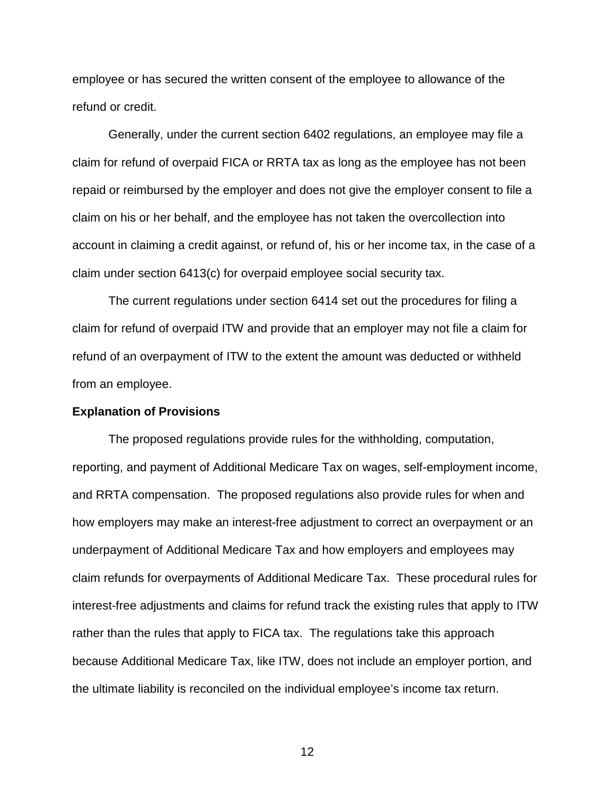employee or has secured the written consent of the employee to allowance of the refund or credit.

Generally, under the current section 6402 regulations, an employee may file a claim for refund of overpaid FICA or RRTA tax as long as the employee has not been repaid or reimbursed by the employer and does not give the employer consent to file a claim on his or her behalf, and the employee has not taken the overcollection into account in claiming a credit against, or refund of, his or her income tax, in the case of a claim under section 6413(c) for overpaid employee social security tax.

The current regulations under section 6414 set out the procedures for filing a claim for refund of overpaid ITW and provide that an employer may not file a claim for refund of an overpayment of ITW to the extent the amount was deducted or withheld from an employee.

#### **Explanation of Provisions**

The proposed regulations provide rules for the withholding, computation, reporting, and payment of Additional Medicare Tax on wages, self-employment income, and RRTA compensation. The proposed regulations also provide rules for when and how employers may make an interest-free adjustment to correct an overpayment or an underpayment of Additional Medicare Tax and how employers and employees may claim refunds for overpayments of Additional Medicare Tax. These procedural rules for interest-free adjustments and claims for refund track the existing rules that apply to ITW rather than the rules that apply to FICA tax. The regulations take this approach because Additional Medicare Tax, like ITW, does not include an employer portion, and the ultimate liability is reconciled on the individual employee's income tax return.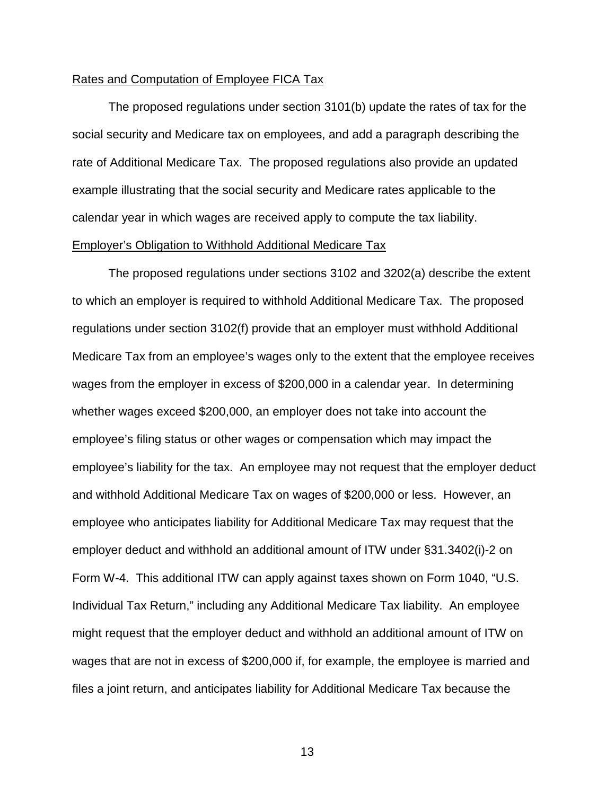## Rates and Computation of Employee FICA Tax

 The proposed regulations under section 3101(b) update the rates of tax for the social security and Medicare tax on employees, and add a paragraph describing the rate of Additional Medicare Tax. The proposed regulations also provide an updated example illustrating that the social security and Medicare rates applicable to the calendar year in which wages are received apply to compute the tax liability. Employer's Obligation to Withhold Additional Medicare Tax

 The proposed regulations under sections 3102 and 3202(a) describe the extent to which an employer is required to withhold Additional Medicare Tax. The proposed regulations under section 3102(f) provide that an employer must withhold Additional Medicare Tax from an employee's wages only to the extent that the employee receives wages from the employer in excess of \$200,000 in a calendar year. In determining whether wages exceed \$200,000, an employer does not take into account the employee's filing status or other wages or compensation which may impact the employee's liability for the tax. An employee may not request that the employer deduct and withhold Additional Medicare Tax on wages of \$200,000 or less. However, an employee who anticipates liability for Additional Medicare Tax may request that the employer deduct and withhold an additional amount of ITW under §31.3402(i)-2 on Form W-4. This additional ITW can apply against taxes shown on Form 1040, "U.S. Individual Tax Return," including any Additional Medicare Tax liability. An employee might request that the employer deduct and withhold an additional amount of ITW on wages that are not in excess of \$200,000 if, for example, the employee is married and files a joint return, and anticipates liability for Additional Medicare Tax because the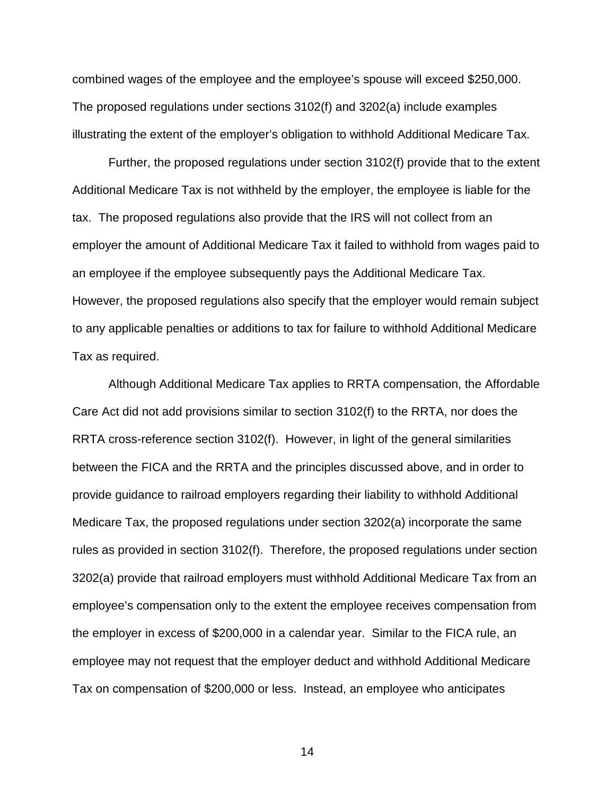combined wages of the employee and the employee's spouse will exceed \$250,000. The proposed regulations under sections 3102(f) and 3202(a) include examples illustrating the extent of the employer's obligation to withhold Additional Medicare Tax.

Further, the proposed regulations under section 3102(f) provide that to the extent Additional Medicare Tax is not withheld by the employer, the employee is liable for the tax. The proposed regulations also provide that the IRS will not collect from an employer the amount of Additional Medicare Tax it failed to withhold from wages paid to an employee if the employee subsequently pays the Additional Medicare Tax. However, the proposed regulations also specify that the employer would remain subject to any applicable penalties or additions to tax for failure to withhold Additional Medicare Tax as required.

Although Additional Medicare Tax applies to RRTA compensation, the Affordable Care Act did not add provisions similar to section 3102(f) to the RRTA, nor does the RRTA cross-reference section 3102(f). However, in light of the general similarities between the FICA and the RRTA and the principles discussed above, and in order to provide guidance to railroad employers regarding their liability to withhold Additional Medicare Tax, the proposed regulations under section 3202(a) incorporate the same rules as provided in section 3102(f). Therefore, the proposed regulations under section 3202(a) provide that railroad employers must withhold Additional Medicare Tax from an employee's compensation only to the extent the employee receives compensation from the employer in excess of \$200,000 in a calendar year. Similar to the FICA rule, an employee may not request that the employer deduct and withhold Additional Medicare Tax on compensation of \$200,000 or less. Instead, an employee who anticipates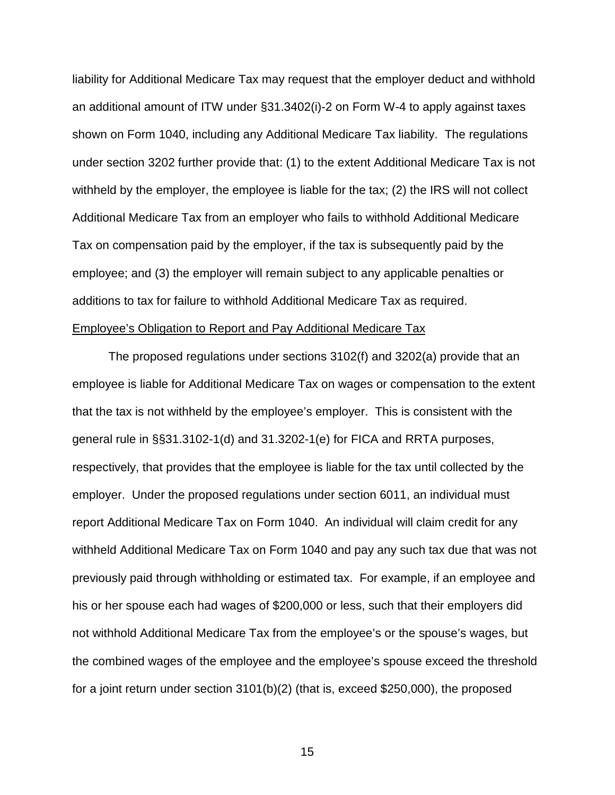liability for Additional Medicare Tax may request that the employer deduct and withhold an additional amount of ITW under §31.3402(i)-2 on Form W-4 to apply against taxes shown on Form 1040, including any Additional Medicare Tax liability. The regulations under section 3202 further provide that: (1) to the extent Additional Medicare Tax is not withheld by the employer, the employee is liable for the tax; (2) the IRS will not collect Additional Medicare Tax from an employer who fails to withhold Additional Medicare Tax on compensation paid by the employer, if the tax is subsequently paid by the employee; and (3) the employer will remain subject to any applicable penalties or additions to tax for failure to withhold Additional Medicare Tax as required. Employee's Obligation to Report and Pay Additional Medicare Tax

 The proposed regulations under sections 3102(f) and 3202(a) provide that an employee is liable for Additional Medicare Tax on wages or compensation to the extent that the tax is not withheld by the employee's employer. This is consistent with the general rule in §§31.3102-1(d) and 31.3202-1(e) for FICA and RRTA purposes, respectively, that provides that the employee is liable for the tax until collected by the employer. Under the proposed regulations under section 6011, an individual must report Additional Medicare Tax on Form 1040. An individual will claim credit for any withheld Additional Medicare Tax on Form 1040 and pay any such tax due that was not previously paid through withholding or estimated tax. For example, if an employee and his or her spouse each had wages of \$200,000 or less, such that their employers did not withhold Additional Medicare Tax from the employee's or the spouse's wages, but the combined wages of the employee and the employee's spouse exceed the threshold for a joint return under section 3101(b)(2) (that is, exceed \$250,000), the proposed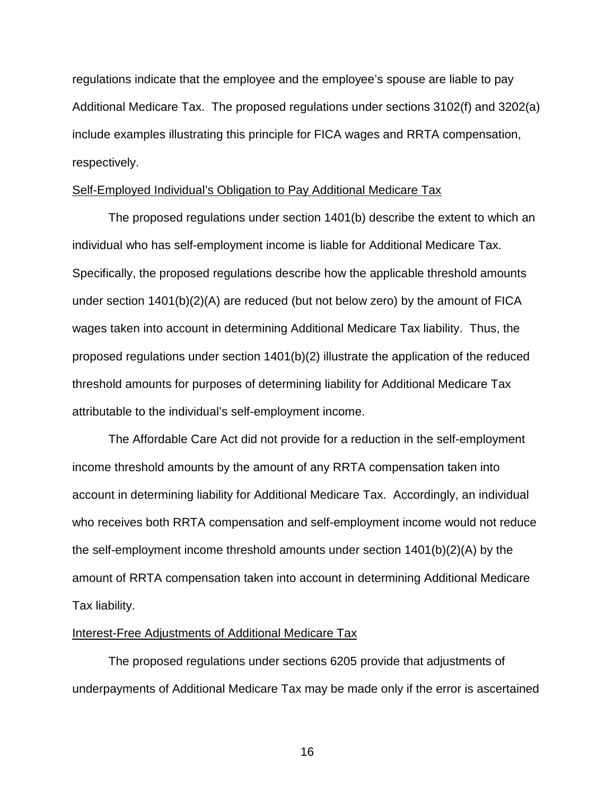regulations indicate that the employee and the employee's spouse are liable to pay Additional Medicare Tax. The proposed regulations under sections 3102(f) and 3202(a) include examples illustrating this principle for FICA wages and RRTA compensation, respectively.

# Self-Employed Individual's Obligation to Pay Additional Medicare Tax

 The proposed regulations under section 1401(b) describe the extent to which an individual who has self-employment income is liable for Additional Medicare Tax. Specifically, the proposed regulations describe how the applicable threshold amounts under section 1401(b)(2)(A) are reduced (but not below zero) by the amount of FICA wages taken into account in determining Additional Medicare Tax liability. Thus, the proposed regulations under section 1401(b)(2) illustrate the application of the reduced threshold amounts for purposes of determining liability for Additional Medicare Tax attributable to the individual's self-employment income.

The Affordable Care Act did not provide for a reduction in the self-employment income threshold amounts by the amount of any RRTA compensation taken into account in determining liability for Additional Medicare Tax. Accordingly, an individual who receives both RRTA compensation and self-employment income would not reduce the self-employment income threshold amounts under section 1401(b)(2)(A) by the amount of RRTA compensation taken into account in determining Additional Medicare Tax liability.

#### Interest-Free Adjustments of Additional Medicare Tax

The proposed regulations under sections 6205 provide that adjustments of underpayments of Additional Medicare Tax may be made only if the error is ascertained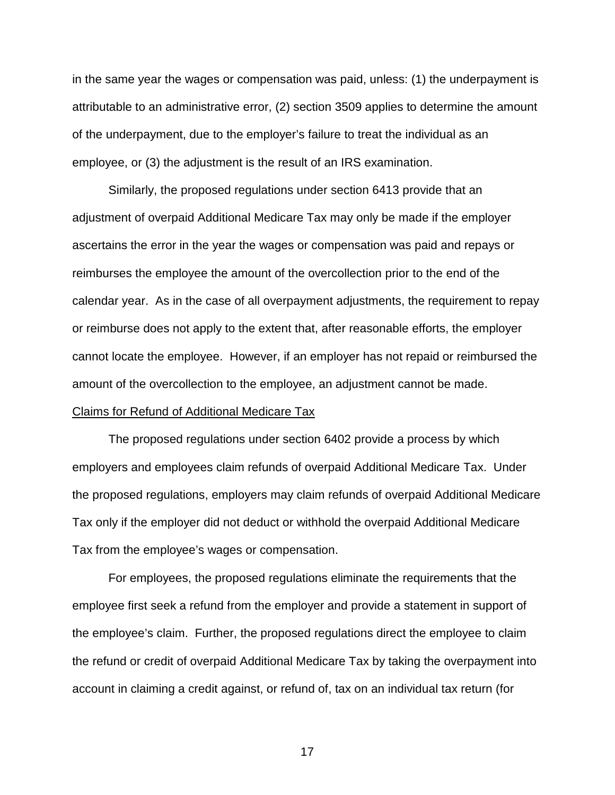in the same year the wages or compensation was paid, unless: (1) the underpayment is attributable to an administrative error, (2) section 3509 applies to determine the amount of the underpayment, due to the employer's failure to treat the individual as an employee, or (3) the adjustment is the result of an IRS examination.

Similarly, the proposed regulations under section 6413 provide that an adjustment of overpaid Additional Medicare Tax may only be made if the employer ascertains the error in the year the wages or compensation was paid and repays or reimburses the employee the amount of the overcollection prior to the end of the calendar year. As in the case of all overpayment adjustments, the requirement to repay or reimburse does not apply to the extent that, after reasonable efforts, the employer cannot locate the employee. However, if an employer has not repaid or reimbursed the amount of the overcollection to the employee, an adjustment cannot be made. Claims for Refund of Additional Medicare Tax

The proposed regulations under section 6402 provide a process by which employers and employees claim refunds of overpaid Additional Medicare Tax. Under the proposed regulations, employers may claim refunds of overpaid Additional Medicare Tax only if the employer did not deduct or withhold the overpaid Additional Medicare Tax from the employee's wages or compensation.

For employees, the proposed regulations eliminate the requirements that the employee first seek a refund from the employer and provide a statement in support of the employee's claim. Further, the proposed regulations direct the employee to claim the refund or credit of overpaid Additional Medicare Tax by taking the overpayment into account in claiming a credit against, or refund of, tax on an individual tax return (for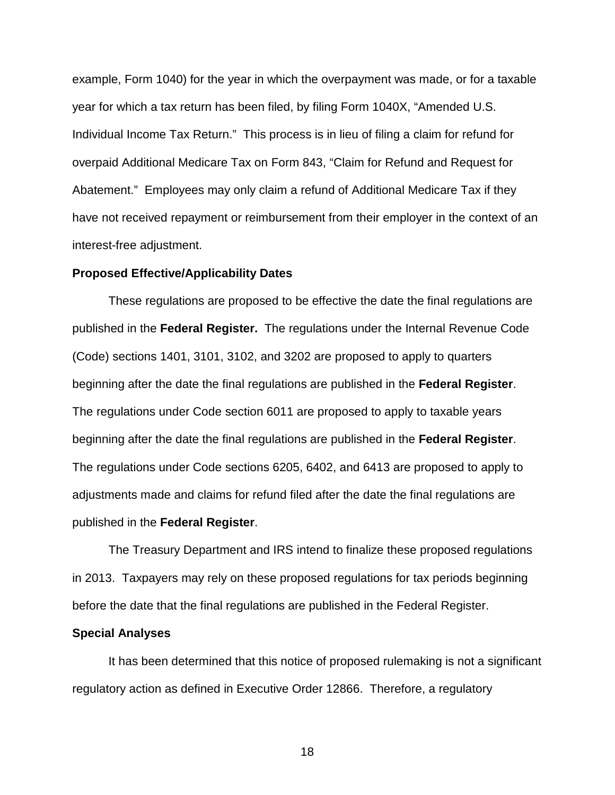example, Form 1040) for the year in which the overpayment was made, or for a taxable year for which a tax return has been filed, by filing Form 1040X, "Amended U.S. Individual Income Tax Return." This process is in lieu of filing a claim for refund for overpaid Additional Medicare Tax on Form 843, "Claim for Refund and Request for Abatement." Employees may only claim a refund of Additional Medicare Tax if they have not received repayment or reimbursement from their employer in the context of an interest-free adjustment.

#### **Proposed Effective/Applicability Dates**

 These regulations are proposed to be effective the date the final regulations are published in the **Federal Register.** The regulations under the Internal Revenue Code (Code) sections 1401, 3101, 3102, and 3202 are proposed to apply to quarters beginning after the date the final regulations are published in the **Federal Register**. The regulations under Code section 6011 are proposed to apply to taxable years beginning after the date the final regulations are published in the **Federal Register**. The regulations under Code sections 6205, 6402, and 6413 are proposed to apply to adjustments made and claims for refund filed after the date the final regulations are published in the **Federal Register**.

The Treasury Department and IRS intend to finalize these proposed regulations in 2013. Taxpayers may rely on these proposed regulations for tax periods beginning before the date that the final regulations are published in the Federal Register.

#### **Special Analyses**

It has been determined that this notice of proposed rulemaking is not a significant regulatory action as defined in Executive Order 12866. Therefore, a regulatory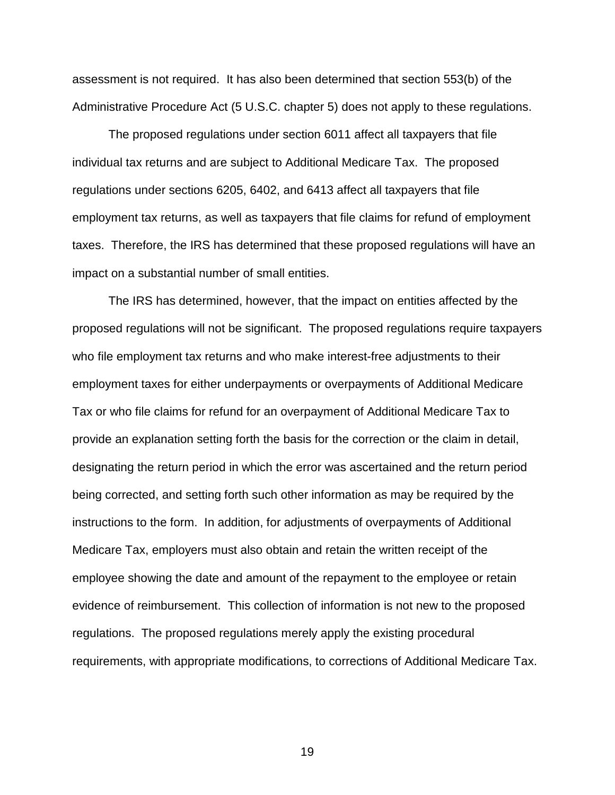assessment is not required. It has also been determined that section 553(b) of the Administrative Procedure Act (5 U.S.C. chapter 5) does not apply to these regulations.

The proposed regulations under section 6011 affect all taxpayers that file individual tax returns and are subject to Additional Medicare Tax. The proposed regulations under sections 6205, 6402, and 6413 affect all taxpayers that file employment tax returns, as well as taxpayers that file claims for refund of employment taxes. Therefore, the IRS has determined that these proposed regulations will have an impact on a substantial number of small entities.

The IRS has determined, however, that the impact on entities affected by the proposed regulations will not be significant. The proposed regulations require taxpayers who file employment tax returns and who make interest-free adjustments to their employment taxes for either underpayments or overpayments of Additional Medicare Tax or who file claims for refund for an overpayment of Additional Medicare Tax to provide an explanation setting forth the basis for the correction or the claim in detail, designating the return period in which the error was ascertained and the return period being corrected, and setting forth such other information as may be required by the instructions to the form. In addition, for adjustments of overpayments of Additional Medicare Tax, employers must also obtain and retain the written receipt of the employee showing the date and amount of the repayment to the employee or retain evidence of reimbursement. This collection of information is not new to the proposed regulations. The proposed regulations merely apply the existing procedural requirements, with appropriate modifications, to corrections of Additional Medicare Tax.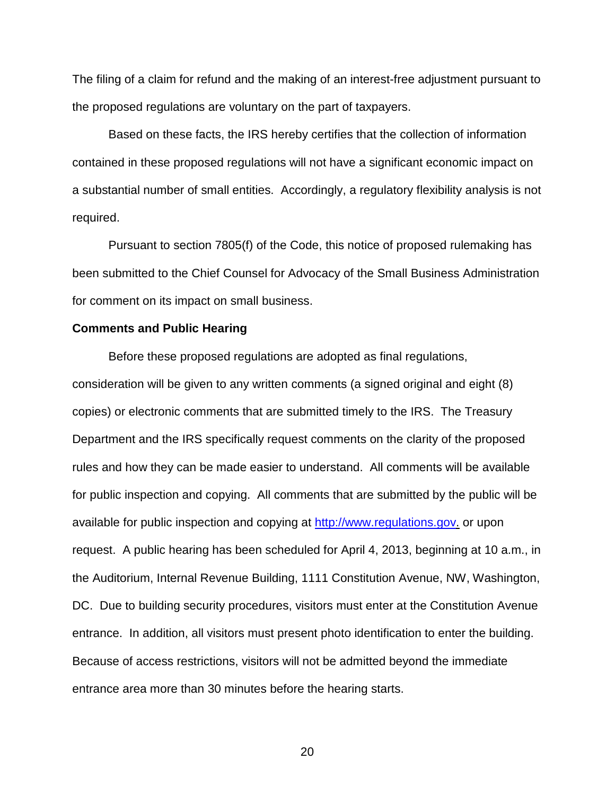The filing of a claim for refund and the making of an interest-free adjustment pursuant to the proposed regulations are voluntary on the part of taxpayers.

Based on these facts, the IRS hereby certifies that the collection of information contained in these proposed regulations will not have a significant economic impact on a substantial number of small entities. Accordingly, a regulatory flexibility analysis is not required.

Pursuant to section 7805(f) of the Code, this notice of proposed rulemaking has been submitted to the Chief Counsel for Advocacy of the Small Business Administration for comment on its impact on small business.

## **Comments and Public Hearing**

Before these proposed regulations are adopted as final regulations, consideration will be given to any written comments (a signed original and eight (8) copies) or electronic comments that are submitted timely to the IRS. The Treasury Department and the IRS specifically request comments on the clarity of the proposed rules and how they can be made easier to understand. All comments will be available for public inspection and copying. All comments that are submitted by the public will be available for public inspection and copying at http://www.regulations.gov. or upon request. A public hearing has been scheduled for April 4, 2013, beginning at 10 a.m., in the Auditorium, Internal Revenue Building, 1111 Constitution Avenue, NW, Washington, DC. Due to building security procedures, visitors must enter at the Constitution Avenue entrance. In addition, all visitors must present photo identification to enter the building. Because of access restrictions, visitors will not be admitted beyond the immediate entrance area more than 30 minutes before the hearing starts.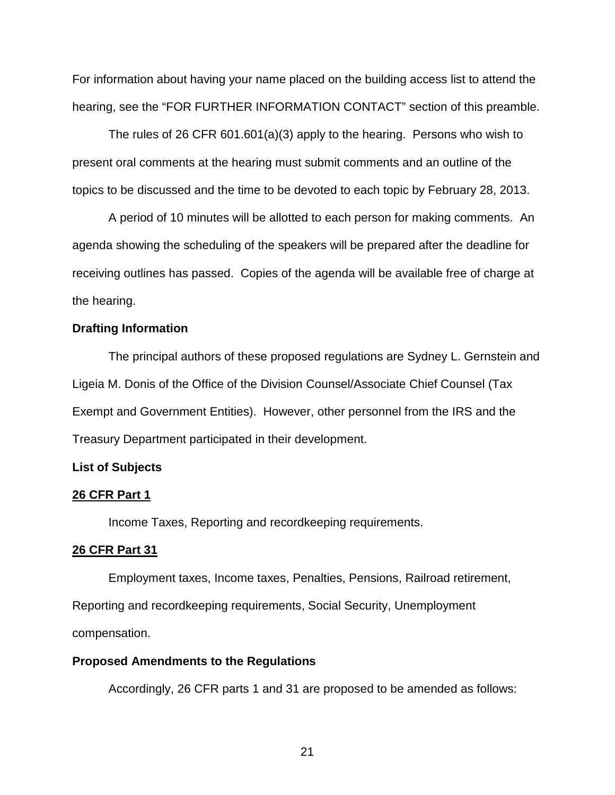For information about having your name placed on the building access list to attend the hearing, see the "FOR FURTHER INFORMATION CONTACT" section of this preamble.

The rules of 26 CFR 601.601(a)(3) apply to the hearing. Persons who wish to present oral comments at the hearing must submit comments and an outline of the topics to be discussed and the time to be devoted to each topic by February 28, 2013.

A period of 10 minutes will be allotted to each person for making comments. An agenda showing the scheduling of the speakers will be prepared after the deadline for receiving outlines has passed. Copies of the agenda will be available free of charge at the hearing.

# **Drafting Information**

 The principal authors of these proposed regulations are Sydney L. Gernstein and Ligeia M. Donis of the Office of the Division Counsel/Associate Chief Counsel (Tax Exempt and Government Entities). However, other personnel from the IRS and the Treasury Department participated in their development.

#### **List of Subjects**

## **26 CFR Part 1**

Income Taxes, Reporting and recordkeeping requirements.

# **26 CFR Part 31**

 Employment taxes, Income taxes, Penalties, Pensions, Railroad retirement, Reporting and recordkeeping requirements, Social Security, Unemployment compensation.

#### **Proposed Amendments to the Regulations**

Accordingly, 26 CFR parts 1 and 31 are proposed to be amended as follows: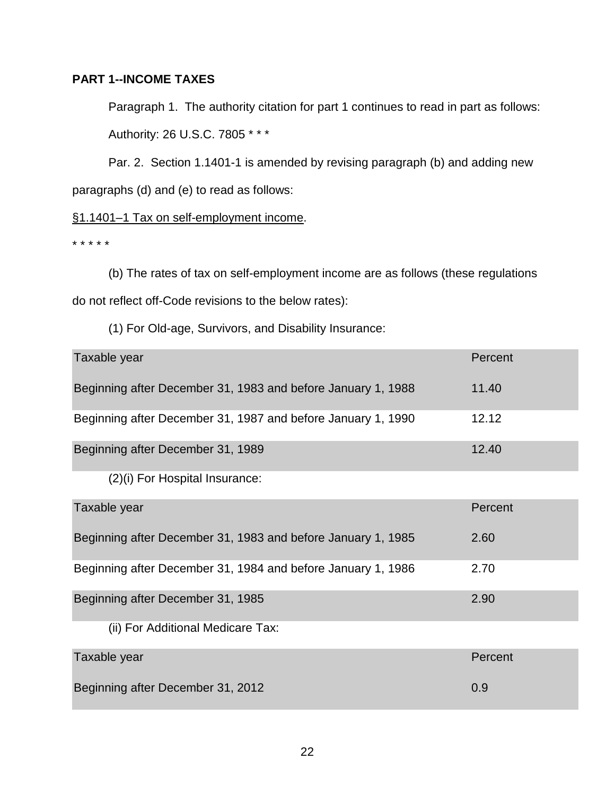# **PART 1--INCOME TAXES**

 Paragraph 1. The authority citation for part 1 continues to read in part as follows: Authority: 26 U.S.C. 7805 \* \* \*

Par. 2. Section 1.1401-1 is amended by revising paragraph (b) and adding new

paragraphs (d) and (e) to read as follows:

# §1.1401-1 Tax on self-employment income.

\* \* \* \* \*

 (b) The rates of tax on self-employment income are as follows (these regulations do not reflect off-Code revisions to the below rates):

(1) For Old-age, Survivors, and Disability Insurance:

| Taxable year                                                 | Percent |
|--------------------------------------------------------------|---------|
| Beginning after December 31, 1983 and before January 1, 1988 | 11.40   |
| Beginning after December 31, 1987 and before January 1, 1990 | 12.12   |
| Beginning after December 31, 1989                            | 12.40   |
| (2)(i) For Hospital Insurance:                               |         |
| Taxable year                                                 | Percent |
|                                                              |         |
| Beginning after December 31, 1983 and before January 1, 1985 | 2.60    |
| Beginning after December 31, 1984 and before January 1, 1986 | 2.70    |
| Beginning after December 31, 1985                            | 2.90    |
| (ii) For Additional Medicare Tax:                            |         |
| Taxable year                                                 | Percent |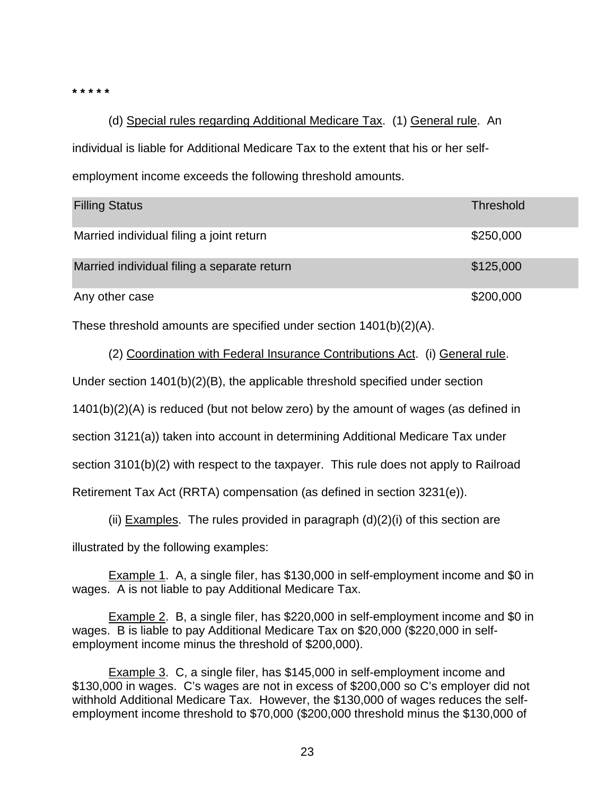**\* \* \* \* \*** 

(d) Special rules regarding Additional Medicare Tax. (1) General rule. An individual is liable for Additional Medicare Tax to the extent that his or her selfemployment income exceeds the following threshold amounts.

| <b>Filling Status</b>                       | <b>Threshold</b> |
|---------------------------------------------|------------------|
| Married individual filing a joint return    | \$250,000        |
| Married individual filing a separate return | \$125,000        |
| Any other case                              | \$200,000        |

These threshold amounts are specified under section 1401(b)(2)(A).

(2) Coordination with Federal Insurance Contributions Act. (i) General rule.

Under section 1401(b)(2)(B), the applicable threshold specified under section

1401(b)(2)(A) is reduced (but not below zero) by the amount of wages (as defined in

section 3121(a)) taken into account in determining Additional Medicare Tax under

section 3101(b)(2) with respect to the taxpayer. This rule does not apply to Railroad

Retirement Tax Act (RRTA) compensation (as defined in section 3231(e)).

(ii) Examples. The rules provided in paragraph  $(d)(2)(i)$  of this section are

illustrated by the following examples:

Example 1. A, a single filer, has \$130,000 in self-employment income and \$0 in wages. A is not liable to pay Additional Medicare Tax.

Example 2. B, a single filer, has \$220,000 in self-employment income and \$0 in wages. B is liable to pay Additional Medicare Tax on \$20,000 (\$220,000 in selfemployment income minus the threshold of \$200,000).

Example 3. C, a single filer, has \$145,000 in self-employment income and \$130,000 in wages. C's wages are not in excess of \$200,000 so C's employer did not withhold Additional Medicare Tax. However, the \$130,000 of wages reduces the selfemployment income threshold to \$70,000 (\$200,000 threshold minus the \$130,000 of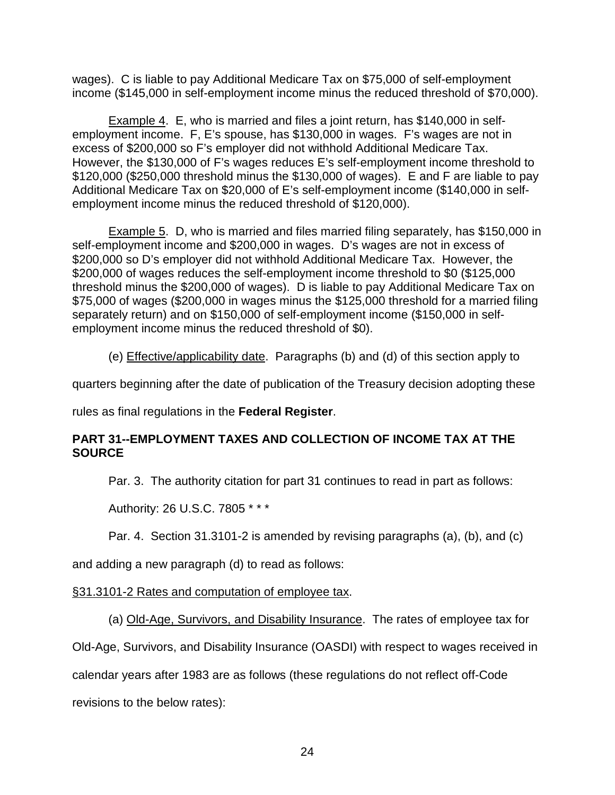wages). C is liable to pay Additional Medicare Tax on \$75,000 of self-employment income (\$145,000 in self-employment income minus the reduced threshold of \$70,000).

Example 4. E, who is married and files a joint return, has \$140,000 in selfemployment income. F, E's spouse, has \$130,000 in wages. F's wages are not in excess of \$200,000 so F's employer did not withhold Additional Medicare Tax. However, the \$130,000 of F's wages reduces E's self-employment income threshold to \$120,000 (\$250,000 threshold minus the \$130,000 of wages). E and F are liable to pay Additional Medicare Tax on \$20,000 of E's self-employment income (\$140,000 in selfemployment income minus the reduced threshold of \$120,000).

Example 5. D, who is married and files married filing separately, has \$150,000 in self-employment income and \$200,000 in wages. D's wages are not in excess of \$200,000 so D's employer did not withhold Additional Medicare Tax. However, the \$200,000 of wages reduces the self-employment income threshold to \$0 (\$125,000 threshold minus the \$200,000 of wages). D is liable to pay Additional Medicare Tax on \$75,000 of wages (\$200,000 in wages minus the \$125,000 threshold for a married filing separately return) and on \$150,000 of self-employment income (\$150,000 in selfemployment income minus the reduced threshold of \$0).

(e) Effective/applicability date. Paragraphs (b) and (d) of this section apply to

quarters beginning after the date of publication of the Treasury decision adopting these

rules as final regulations in the **Federal Register**.

# **PART 31--EMPLOYMENT TAXES AND COLLECTION OF INCOME TAX AT THE SOURCE**

Par. 3. The authority citation for part 31 continues to read in part as follows:

Authority: 26 U.S.C. 7805 \* \* \*

Par. 4. Section 31.3101-2 is amended by revising paragraphs (a), (b), and (c)

and adding a new paragraph (d) to read as follows:

§31.3101-2 Rates and computation of employee tax.

(a) Old-Age, Survivors, and Disability Insurance. The rates of employee tax for

Old-Age, Survivors, and Disability Insurance (OASDI) with respect to wages received in

calendar years after 1983 are as follows (these regulations do not reflect off-Code

revisions to the below rates):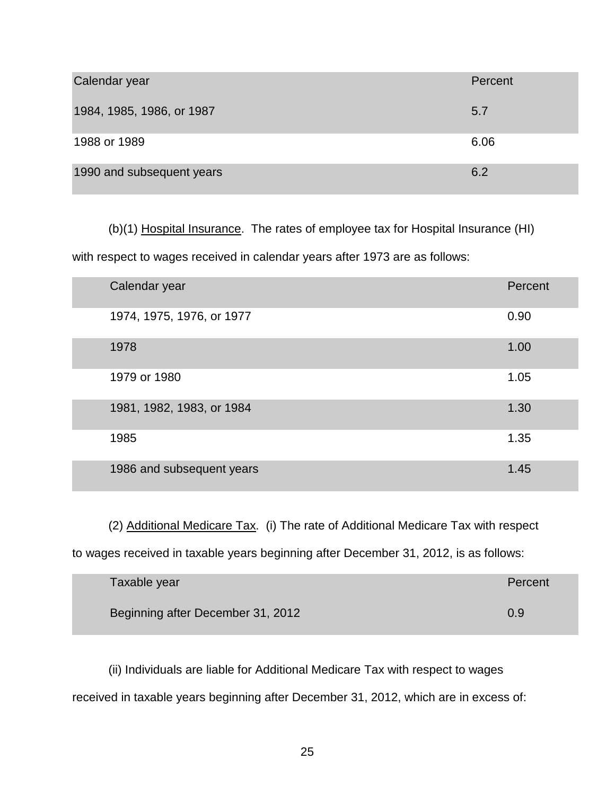| Calendar year             | Percent |
|---------------------------|---------|
| 1984, 1985, 1986, or 1987 | 5.7     |
| 1988 or 1989              | 6.06    |
| 1990 and subsequent years | 6.2     |

(b)(1) Hospital Insurance. The rates of employee tax for Hospital Insurance (HI)

with respect to wages received in calendar years after 1973 are as follows:

| Calendar year             | Percent |
|---------------------------|---------|
| 1974, 1975, 1976, or 1977 | 0.90    |
| 1978                      | 1.00    |
| 1979 or 1980              | 1.05    |
| 1981, 1982, 1983, or 1984 | 1.30    |
| 1985                      | 1.35    |
| 1986 and subsequent years | 1.45    |

(2) Additional Medicare Tax.(i) The rate of Additional Medicare Tax with respect to wages received in taxable years beginning after December 31, 2012, is as follows:

| Taxable year                      | Percent |
|-----------------------------------|---------|
| Beginning after December 31, 2012 | 0.9     |

 (ii) Individuals are liable for Additional Medicare Tax with respect to wages received in taxable years beginning after December 31, 2012, which are in excess of: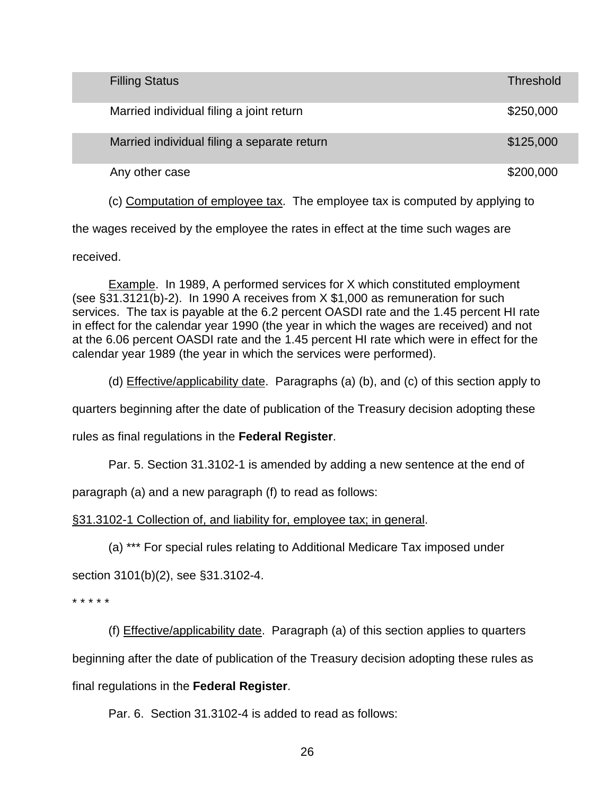| <b>Filling Status</b>                       | Threshold |
|---------------------------------------------|-----------|
| Married individual filing a joint return    | \$250,000 |
| Married individual filing a separate return | \$125,000 |
| Any other case                              | \$200,000 |

(c) Computation of employee tax. The employee tax is computed by applying to

the wages received by the employee the rates in effect at the time such wages are

received.

 Example. In 1989, A performed services for X which constituted employment (see §31.3121(b)-2). In 1990 A receives from X \$1,000 as remuneration for such services. The tax is payable at the 6.2 percent OASDI rate and the 1.45 percent HI rate in effect for the calendar year 1990 (the year in which the wages are received) and not at the 6.06 percent OASDI rate and the 1.45 percent HI rate which were in effect for the calendar year 1989 (the year in which the services were performed).

(d) Effective/applicability date. Paragraphs (a) (b), and (c) of this section apply to

quarters beginning after the date of publication of the Treasury decision adopting these

rules as final regulations in the **Federal Register**.

Par. 5. Section 31.3102-1 is amended by adding a new sentence at the end of

paragraph (a) and a new paragraph (f) to read as follows:

§31.3102-1 Collection of, and liability for, employee tax; in general.

(a) \*\*\* For special rules relating to Additional Medicare Tax imposed under

section 3101(b)(2), see §31.3102-4.

\* \* \* \* \*

 (f) Effective/applicability date. Paragraph (a) of this section applies to quarters beginning after the date of publication of the Treasury decision adopting these rules as final regulations in the **Federal Register**.

Par. 6. Section 31.3102-4 is added to read as follows: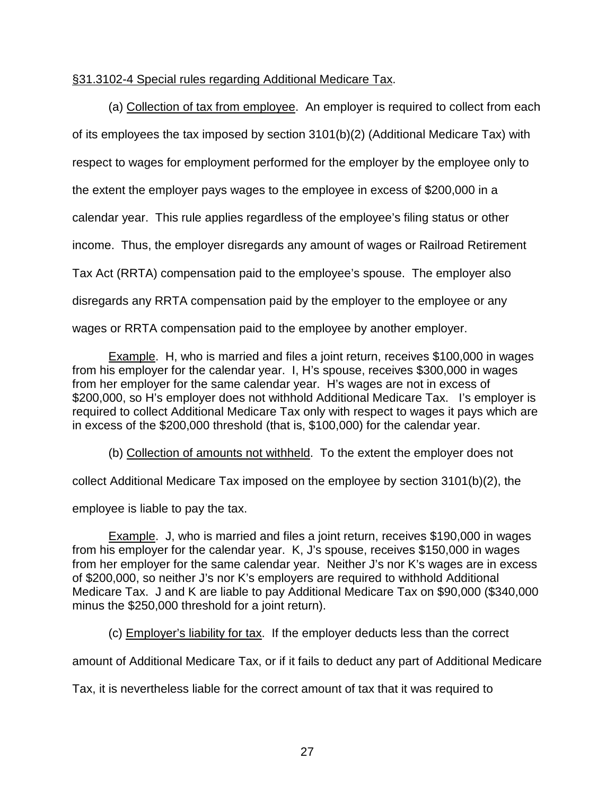# §31.3102-4 Special rules regarding Additional Medicare Tax.

 (a) Collection of tax from employee. An employer is required to collect from each of its employees the tax imposed by section 3101(b)(2) (Additional Medicare Tax) with respect to wages for employment performed for the employer by the employee only to the extent the employer pays wages to the employee in excess of \$200,000 in a calendar year. This rule applies regardless of the employee's filing status or other income. Thus, the employer disregards any amount of wages or Railroad Retirement Tax Act (RRTA) compensation paid to the employee's spouse. The employer also disregards any RRTA compensation paid by the employer to the employee or any wages or RRTA compensation paid to the employee by another employer.

Example. H, who is married and files a joint return, receives \$100,000 in wages from his employer for the calendar year. I, H's spouse, receives \$300,000 in wages from her employer for the same calendar year. H's wages are not in excess of \$200,000, so H's employer does not withhold Additional Medicare Tax. I's employer is required to collect Additional Medicare Tax only with respect to wages it pays which are in excess of the \$200,000 threshold (that is, \$100,000) for the calendar year.

(b) Collection of amounts not withheld. To the extent the employer does not

collect Additional Medicare Tax imposed on the employee by section 3101(b)(2), the

employee is liable to pay the tax.

 Example. J, who is married and files a joint return, receives \$190,000 in wages from his employer for the calendar year. K, J's spouse, receives \$150,000 in wages from her employer for the same calendar year. Neither J's nor K's wages are in excess of \$200,000, so neither J's nor K's employers are required to withhold Additional Medicare Tax. J and K are liable to pay Additional Medicare Tax on \$90,000 (\$340,000 minus the \$250,000 threshold for a joint return).

(c) Employer's liability for tax. If the employer deducts less than the correct

amount of Additional Medicare Tax, or if it fails to deduct any part of Additional Medicare

Tax, it is nevertheless liable for the correct amount of tax that it was required to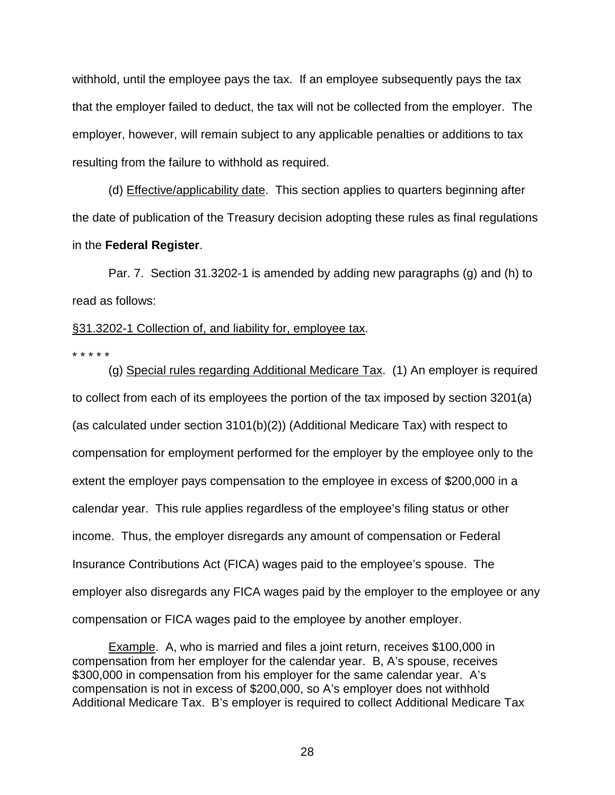withhold, until the employee pays the tax. If an employee subsequently pays the tax that the employer failed to deduct, the tax will not be collected from the employer. The employer, however, will remain subject to any applicable penalties or additions to tax resulting from the failure to withhold as required.

 (d) Effective/applicability date. This section applies to quarters beginning after the date of publication of the Treasury decision adopting these rules as final regulations in the **Federal Register**.

Par. 7. Section 31.3202-1 is amended by adding new paragraphs (g) and (h) to read as follows:

# §31.3202-1 Collection of, and liability for, employee tax.

\* \* \* \* \*

 (g) Special rules regarding Additional Medicare Tax. (1) An employer is required to collect from each of its employees the portion of the tax imposed by section 3201(a) (as calculated under section 3101(b)(2)) (Additional Medicare Tax) with respect to compensation for employment performed for the employer by the employee only to the extent the employer pays compensation to the employee in excess of \$200,000 in a calendar year. This rule applies regardless of the employee's filing status or other income. Thus, the employer disregards any amount of compensation or Federal Insurance Contributions Act (FICA) wages paid to the employee's spouse. The employer also disregards any FICA wages paid by the employer to the employee or any compensation or FICA wages paid to the employee by another employer.

Example. A, who is married and files a joint return, receives \$100,000 in compensation from her employer for the calendar year. B, A's spouse, receives \$300,000 in compensation from his employer for the same calendar year. A's compensation is not in excess of \$200,000, so A's employer does not withhold Additional Medicare Tax. B's employer is required to collect Additional Medicare Tax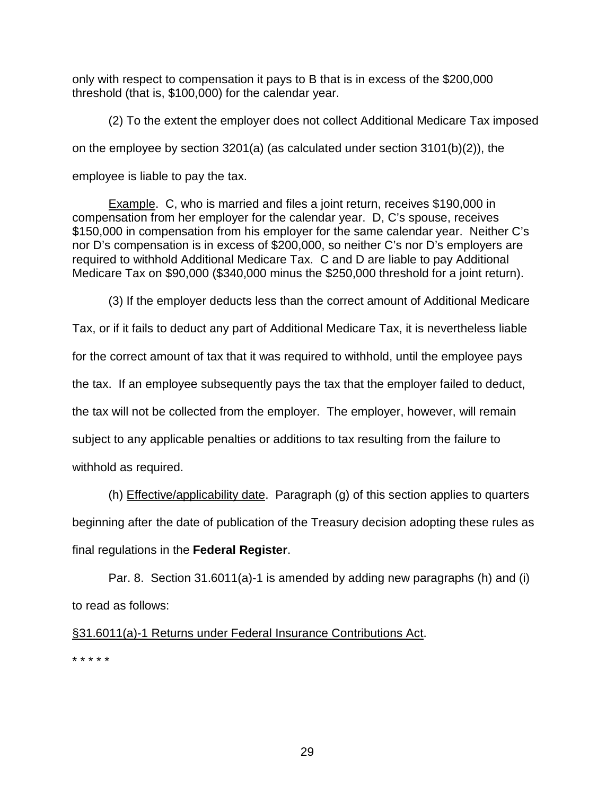only with respect to compensation it pays to B that is in excess of the \$200,000 threshold (that is, \$100,000) for the calendar year.

 (2) To the extent the employer does not collect Additional Medicare Tax imposed on the employee by section 3201(a) (as calculated under section 3101(b)(2)), the employee is liable to pay the tax.

Example. C, who is married and files a joint return, receives \$190,000 in compensation from her employer for the calendar year. D, C's spouse, receives \$150,000 in compensation from his employer for the same calendar year. Neither C's nor D's compensation is in excess of \$200,000, so neither C's nor D's employers are required to withhold Additional Medicare Tax. C and D are liable to pay Additional Medicare Tax on \$90,000 (\$340,000 minus the \$250,000 threshold for a joint return).

(3) If the employer deducts less than the correct amount of Additional Medicare

Tax, or if it fails to deduct any part of Additional Medicare Tax, it is nevertheless liable for the correct amount of tax that it was required to withhold, until the employee pays the tax. If an employee subsequently pays the tax that the employer failed to deduct, the tax will not be collected from the employer. The employer, however, will remain subject to any applicable penalties or additions to tax resulting from the failure to withhold as required.

 (h) Effective/applicability date. Paragraph (g) of this section applies to quarters beginning after the date of publication of the Treasury decision adopting these rules as final regulations in the **Federal Register**.

Par. 8. Section 31.6011(a)-1 is amended by adding new paragraphs (h) and (i) to read as follows:

§31.6011(a)-1 Returns under Federal Insurance Contributions Act. \* \* \* \* \*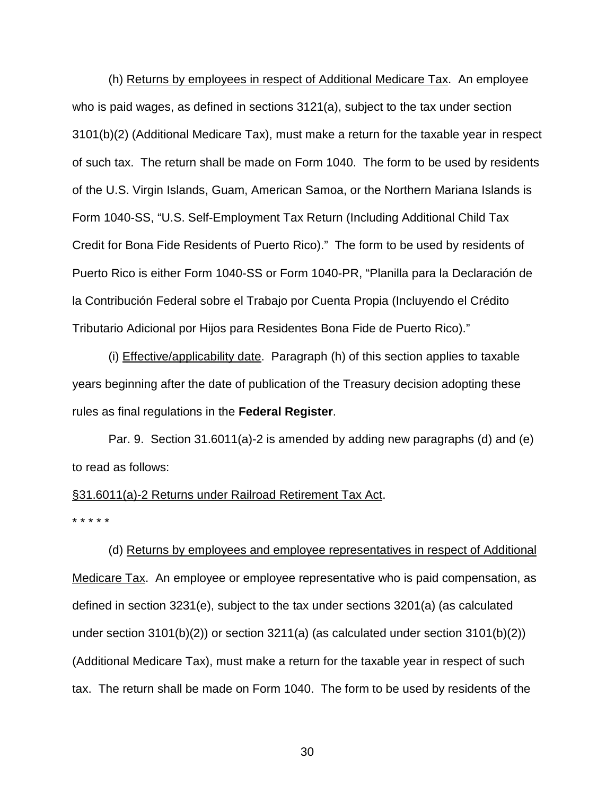(h) Returns by employees in respect of Additional Medicare Tax. An employee who is paid wages, as defined in sections 3121(a), subject to the tax under section 3101(b)(2) (Additional Medicare Tax), must make a return for the taxable year in respect of such tax. The return shall be made on Form 1040. The form to be used by residents of the U.S. Virgin Islands, Guam, American Samoa, or the Northern Mariana Islands is Form 1040-SS, "U.S. Self-Employment Tax Return (Including Additional Child Tax Credit for Bona Fide Residents of Puerto Rico)." The form to be used by residents of Puerto Rico is either Form 1040-SS or Form 1040-PR, "Planilla para la Declaración de la Contribución Federal sobre el Trabajo por Cuenta Propia (Incluyendo el Crédito Tributario Adicional por Hijos para Residentes Bona Fide de Puerto Rico)."

 (i) Effective/applicability date. Paragraph (h) of this section applies to taxable years beginning after the date of publication of the Treasury decision adopting these rules as final regulations in the **Federal Register**.

Par. 9. Section 31.6011(a)-2 is amended by adding new paragraphs (d) and (e) to read as follows:

# §31.6011(a)-2 Returns under Railroad Retirement Tax Act.

\* \* \* \* \*

 (d) Returns by employees and employee representatives in respect of Additional Medicare Tax. An employee or employee representative who is paid compensation, as defined in section 3231(e), subject to the tax under sections 3201(a) (as calculated under section 3101(b)(2)) or section 3211(a) (as calculated under section 3101(b)(2)) (Additional Medicare Tax), must make a return for the taxable year in respect of such tax. The return shall be made on Form 1040. The form to be used by residents of the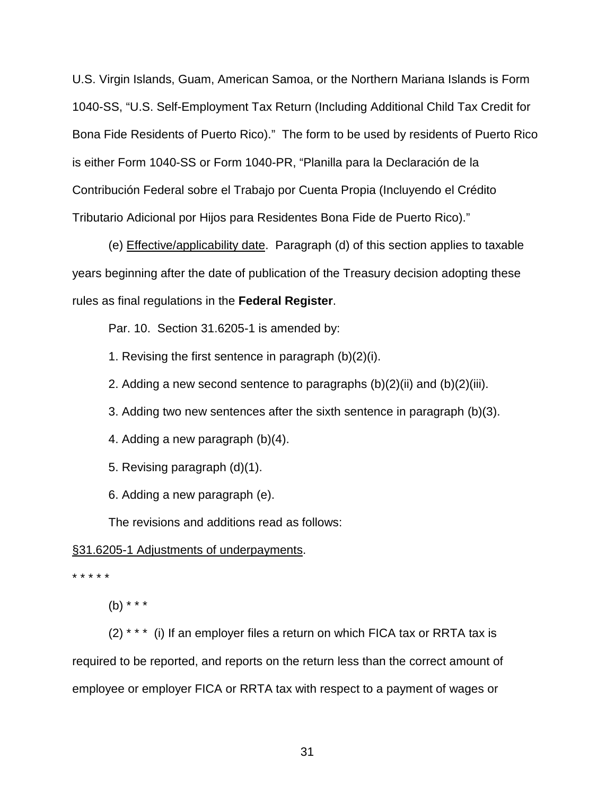U.S. Virgin Islands, Guam, American Samoa, or the Northern Mariana Islands is Form 1040-SS, "U.S. Self-Employment Tax Return (Including Additional Child Tax Credit for Bona Fide Residents of Puerto Rico)." The form to be used by residents of Puerto Rico is either Form 1040-SS or Form 1040-PR, "Planilla para la Declaración de la Contribución Federal sobre el Trabajo por Cuenta Propia (Incluyendo el Crédito Tributario Adicional por Hijos para Residentes Bona Fide de Puerto Rico)."

 (e) Effective/applicability date. Paragraph (d) of this section applies to taxable years beginning after the date of publication of the Treasury decision adopting these rules as final regulations in the **Federal Register**.

Par. 10. Section 31.6205-1 is amended by:

1. Revising the first sentence in paragraph (b)(2)(i).

2. Adding a new second sentence to paragraphs  $(b)(2)(ii)$  and  $(b)(2)(iii)$ .

3. Adding two new sentences after the sixth sentence in paragraph (b)(3).

4. Adding a new paragraph (b)(4).

5. Revising paragraph (d)(1).

6. Adding a new paragraph (e).

The revisions and additions read as follows:

## §31.6205-1 Adjustments of underpayments.

\* \* \* \* \*

(b) \* \* \*

 $(2)$  \* \* \* (i) If an employer files a return on which FICA tax or RRTA tax is required to be reported, and reports on the return less than the correct amount of employee or employer FICA or RRTA tax with respect to a payment of wages or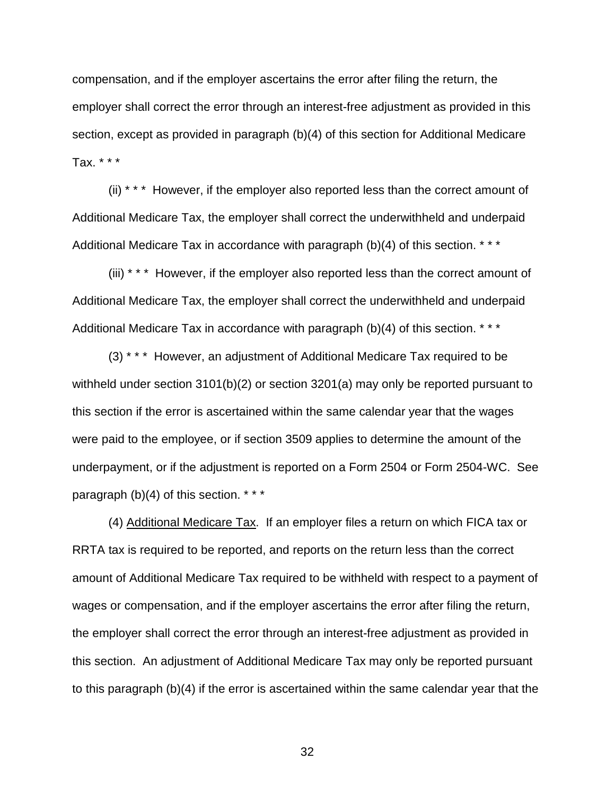compensation, and if the employer ascertains the error after filing the return, the employer shall correct the error through an interest-free adjustment as provided in this section, except as provided in paragraph (b)(4) of this section for Additional Medicare Tax. \* \* \*

 (ii) \* \* \* However, if the employer also reported less than the correct amount of Additional Medicare Tax, the employer shall correct the underwithheld and underpaid Additional Medicare Tax in accordance with paragraph (b)(4) of this section. \*\*\*

 (iii) \* \* \* However, if the employer also reported less than the correct amount of Additional Medicare Tax, the employer shall correct the underwithheld and underpaid Additional Medicare Tax in accordance with paragraph (b)(4) of this section. \* \* \*

 (3) \* \* \* However, an adjustment of Additional Medicare Tax required to be withheld under section 3101(b)(2) or section 3201(a) may only be reported pursuant to this section if the error is ascertained within the same calendar year that the wages were paid to the employee, or if section 3509 applies to determine the amount of the underpayment, or if the adjustment is reported on a Form 2504 or Form 2504-WC. See paragraph (b)(4) of this section. \* \* \*

 (4) Additional Medicare Tax. If an employer files a return on which FICA tax or RRTA tax is required to be reported, and reports on the return less than the correct amount of Additional Medicare Tax required to be withheld with respect to a payment of wages or compensation, and if the employer ascertains the error after filing the return, the employer shall correct the error through an interest-free adjustment as provided in this section. An adjustment of Additional Medicare Tax may only be reported pursuant to this paragraph (b)(4) if the error is ascertained within the same calendar year that the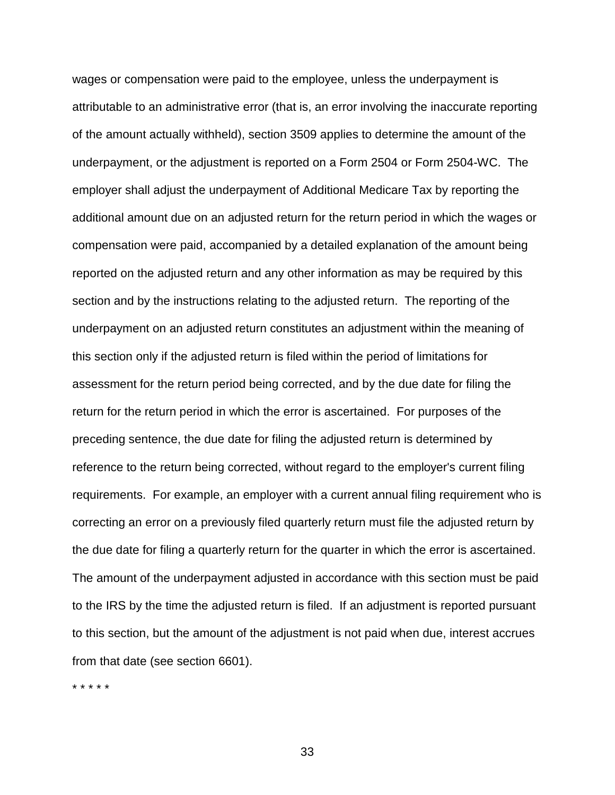wages or compensation were paid to the employee, unless the underpayment is attributable to an administrative error (that is, an error involving the inaccurate reporting of the amount actually withheld), section 3509 applies to determine the amount of the underpayment, or the adjustment is reported on a Form 2504 or Form 2504-WC. The employer shall adjust the underpayment of Additional Medicare Tax by reporting the additional amount due on an adjusted return for the return period in which the wages or compensation were paid, accompanied by a detailed explanation of the amount being reported on the adjusted return and any other information as may be required by this section and by the instructions relating to the adjusted return. The reporting of the underpayment on an adjusted return constitutes an adjustment within the meaning of this section only if the adjusted return is filed within the period of limitations for assessment for the return period being corrected, and by the due date for filing the return for the return period in which the error is ascertained. For purposes of the preceding sentence, the due date for filing the adjusted return is determined by reference to the return being corrected, without regard to the employer's current filing requirements. For example, an employer with a current annual filing requirement who is correcting an error on a previously filed quarterly return must file the adjusted return by the due date for filing a quarterly return for the quarter in which the error is ascertained. The amount of the underpayment adjusted in accordance with this section must be paid to the IRS by the time the adjusted return is filed. If an adjustment is reported pursuant to this section, but the amount of the adjustment is not paid when due, interest accrues from that date (see section 6601).

\* \* \* \* \*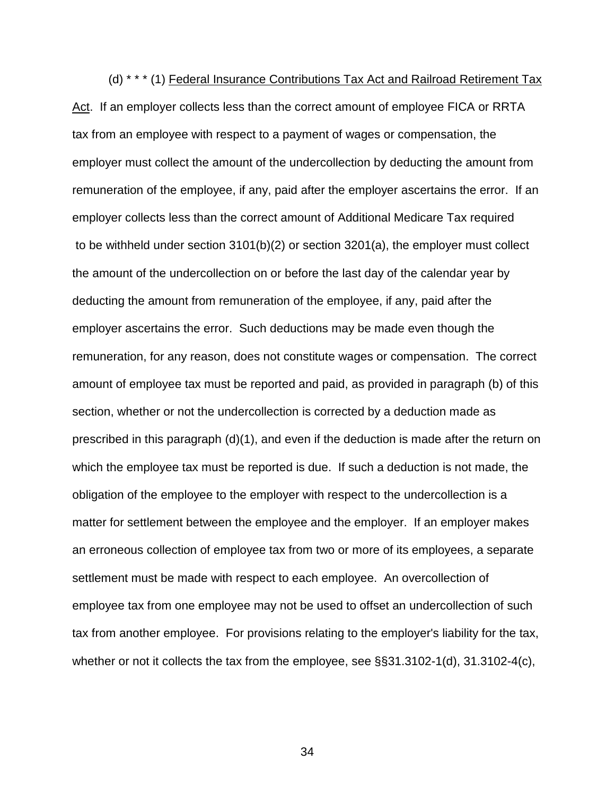(d) \* \* \* (1) Federal Insurance Contributions Tax Act and Railroad Retirement Tax Act. If an employer collects less than the correct amount of employee FICA or RRTA tax from an employee with respect to a payment of wages or compensation, the employer must collect the amount of the undercollection by deducting the amount from remuneration of the employee, if any, paid after the employer ascertains the error. If an employer collects less than the correct amount of Additional Medicare Tax required to be withheld under section 3101(b)(2) or section 3201(a), the employer must collect the amount of the undercollection on or before the last day of the calendar year by deducting the amount from remuneration of the employee, if any, paid after the employer ascertains the error. Such deductions may be made even though the remuneration, for any reason, does not constitute wages or compensation. The correct amount of employee tax must be reported and paid, as provided in paragraph (b) of this section, whether or not the undercollection is corrected by a deduction made as prescribed in this paragraph (d)(1), and even if the deduction is made after the return on which the employee tax must be reported is due. If such a deduction is not made, the obligation of the employee to the employer with respect to the undercollection is a matter for settlement between the employee and the employer. If an employer makes an erroneous collection of employee tax from two or more of its employees, a separate settlement must be made with respect to each employee. An overcollection of employee tax from one employee may not be used to offset an undercollection of such tax from another employee. For provisions relating to the employer's liability for the tax, whether or not it collects the tax from the employee, see §§31.3102-1(d), 31.3102-4(c),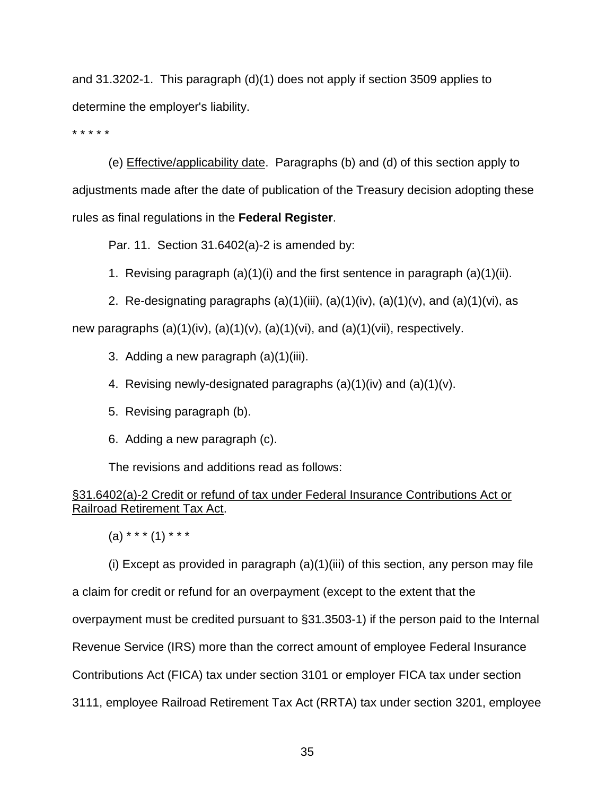and 31.3202-1. This paragraph (d)(1) does not apply if section 3509 applies to determine the employer's liability.

\* \* \* \* \*

 (e) Effective/applicability date. Paragraphs (b) and (d) of this section apply to adjustments made after the date of publication of the Treasury decision adopting these rules as final regulations in the **Federal Register**.

Par. 11. Section 31.6402(a)-2 is amended by:

1. Revising paragraph (a)(1)(i) and the first sentence in paragraph (a)(1)(ii).

2. Re-designating paragraphs  $(a)(1)(iii)$ ,  $(a)(1)(iv)$ ,  $(a)(1)(v)$ , and  $(a)(1)(vi)$ , as new paragraphs  $(a)(1)(iv)$ ,  $(a)(1)(v)$ ,  $(a)(1)(vi)$ , and  $(a)(1)(vii)$ , respectively.

- 3. Adding a new paragraph (a)(1)(iii).
- 4. Revising newly-designated paragraphs  $(a)(1)(iv)$  and  $(a)(1)(v)$ .
- 5. Revising paragraph (b).
- 6. Adding a new paragraph (c).

The revisions and additions read as follows:

# §31.6402(a)-2 Credit or refund of tax under Federal Insurance Contributions Act or Railroad Retirement Tax Act.

 $(a)$  \* \* \*  $(1)$  \* \* \*

 (i) Except as provided in paragraph (a)(1)(iii) of this section, any person may file a claim for credit or refund for an overpayment (except to the extent that the overpayment must be credited pursuant to §31.3503-1) if the person paid to the Internal Revenue Service (IRS) more than the correct amount of employee Federal Insurance Contributions Act (FICA) tax under section 3101 or employer FICA tax under section 3111, employee Railroad Retirement Tax Act (RRTA) tax under section 3201, employee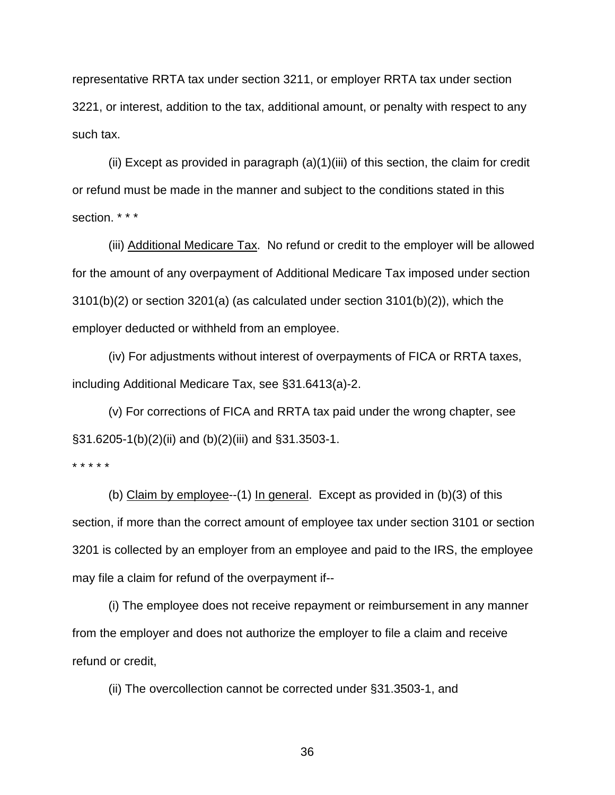representative RRTA tax under section 3211, or employer RRTA tax under section 3221, or interest, addition to the tax, additional amount, or penalty with respect to any such tax.

 (ii) Except as provided in paragraph (a)(1)(iii) of this section, the claim for credit or refund must be made in the manner and subject to the conditions stated in this section. \* \* \*

 (iii) Additional Medicare Tax. No refund or credit to the employer will be allowed for the amount of any overpayment of Additional Medicare Tax imposed under section 3101(b)(2) or section 3201(a) (as calculated under section 3101(b)(2)), which the employer deducted or withheld from an employee.

 (iv) For adjustments without interest of overpayments of FICA or RRTA taxes, including Additional Medicare Tax, see §31.6413(a)-2.

 (v) For corrections of FICA and RRTA tax paid under the wrong chapter, see §31.6205-1(b)(2)(ii) and (b)(2)(iii) and §31.3503-1.

\* \* \* \* \*

(b) Claim by employee--(1) In general. Except as provided in  $(b)(3)$  of this section, if more than the correct amount of employee tax under section 3101 or section 3201 is collected by an employer from an employee and paid to the IRS, the employee may file a claim for refund of the overpayment if--

 (i) The employee does not receive repayment or reimbursement in any manner from the employer and does not authorize the employer to file a claim and receive refund or credit,

(ii) The overcollection cannot be corrected under §31.3503-1, and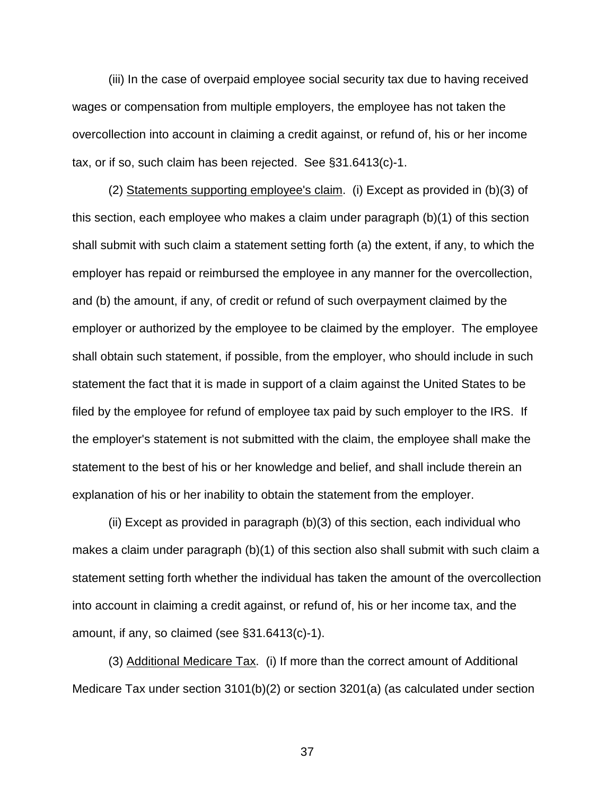(iii) In the case of overpaid employee social security tax due to having received wages or compensation from multiple employers, the employee has not taken the overcollection into account in claiming a credit against, or refund of, his or her income tax, or if so, such claim has been rejected. See §31.6413(c)-1.

 (2) Statements supporting employee's claim. (i) Except as provided in (b)(3) of this section, each employee who makes a claim under paragraph (b)(1) of this section shall submit with such claim a statement setting forth (a) the extent, if any, to which the employer has repaid or reimbursed the employee in any manner for the overcollection, and (b) the amount, if any, of credit or refund of such overpayment claimed by the employer or authorized by the employee to be claimed by the employer. The employee shall obtain such statement, if possible, from the employer, who should include in such statement the fact that it is made in support of a claim against the United States to be filed by the employee for refund of employee tax paid by such employer to the IRS. If the employer's statement is not submitted with the claim, the employee shall make the statement to the best of his or her knowledge and belief, and shall include therein an explanation of his or her inability to obtain the statement from the employer.

 (ii) Except as provided in paragraph (b)(3) of this section, each individual who makes a claim under paragraph (b)(1) of this section also shall submit with such claim a statement setting forth whether the individual has taken the amount of the overcollection into account in claiming a credit against, or refund of, his or her income tax, and the amount, if any, so claimed (see §31.6413(c)-1).

 (3) Additional Medicare Tax. (i) If more than the correct amount of Additional Medicare Tax under section 3101(b)(2) or section 3201(a) (as calculated under section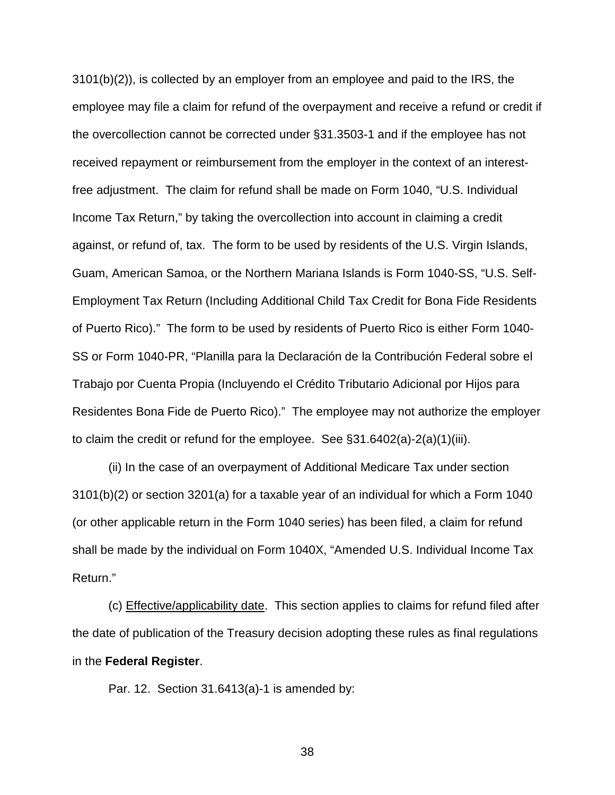3101(b)(2)), is collected by an employer from an employee and paid to the IRS, the employee may file a claim for refund of the overpayment and receive a refund or credit if the overcollection cannot be corrected under §31.3503-1 and if the employee has not received repayment or reimbursement from the employer in the context of an interestfree adjustment. The claim for refund shall be made on Form 1040, "U.S. Individual Income Tax Return," by taking the overcollection into account in claiming a credit against, or refund of, tax. The form to be used by residents of the U.S. Virgin Islands, Guam, American Samoa, or the Northern Mariana Islands is Form 1040-SS, "U.S. Self-Employment Tax Return (Including Additional Child Tax Credit for Bona Fide Residents of Puerto Rico)." The form to be used by residents of Puerto Rico is either Form 1040- SS or Form 1040-PR, "Planilla para la Declaración de la Contribución Federal sobre el Trabajo por Cuenta Propia (Incluyendo el Crédito Tributario Adicional por Hijos para Residentes Bona Fide de Puerto Rico)." The employee may not authorize the employer to claim the credit or refund for the employee. See §31.6402(a)-2(a)(1)(iii).

 (ii) In the case of an overpayment of Additional Medicare Tax under section 3101(b)(2) or section 3201(a) for a taxable year of an individual for which a Form 1040 (or other applicable return in the Form 1040 series) has been filed, a claim for refund shall be made by the individual on Form 1040X, "Amended U.S. Individual Income Tax Return."

 (c) Effective/applicability date. This section applies to claims for refund filed after the date of publication of the Treasury decision adopting these rules as final regulations in the **Federal Register**.

Par. 12. Section 31.6413(a)-1 is amended by: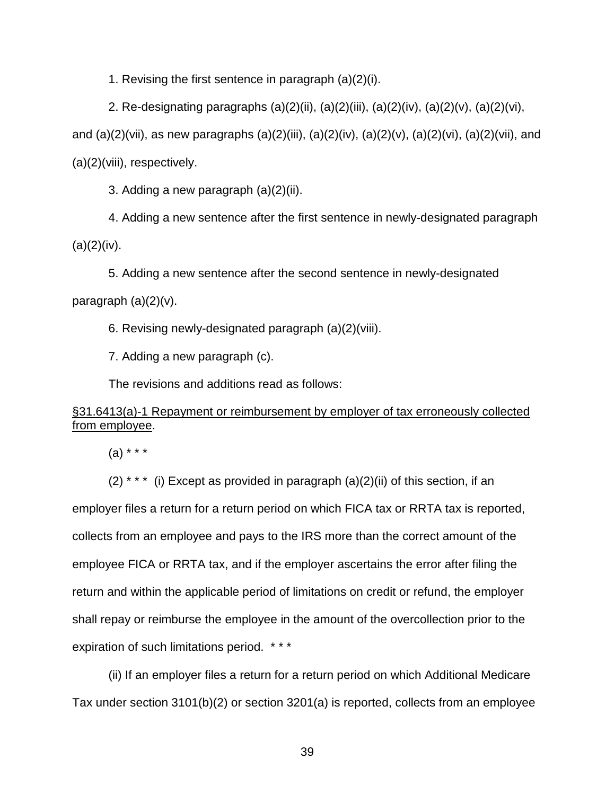1. Revising the first sentence in paragraph (a)(2)(i).

2. Re-designating paragraphs (a)(2)(ii), (a)(2)(iii), (a)(2)(iv), (a)(2)(v), (a)(2)(vi), and (a)(2)(vii), as new paragraphs (a)(2)(iii), (a)(2)(iv), (a)(2)(v), (a)(2)(vi), (a)(2)(vii), and (a)(2)(viii), respectively.

3. Adding a new paragraph (a)(2)(ii).

4. Adding a new sentence after the first sentence in newly-designated paragraph  $(a)(2)(iv).$ 

5. Adding a new sentence after the second sentence in newly-designated paragraph  $(a)(2)(v)$ .

6. Revising newly-designated paragraph (a)(2)(viii).

7. Adding a new paragraph (c).

The revisions and additions read as follows:

# §31.6413(a)-1 Repayment or reimbursement by employer of tax erroneously collected from employee.

 $(a) * * *$ 

 $(2)$ <sup>\*\*\*</sup> (i) Except as provided in paragraph  $(a)(2)(ii)$  of this section, if an employer files a return for a return period on which FICA tax or RRTA tax is reported, collects from an employee and pays to the IRS more than the correct amount of the employee FICA or RRTA tax, and if the employer ascertains the error after filing the return and within the applicable period of limitations on credit or refund, the employer shall repay or reimburse the employee in the amount of the overcollection prior to the expiration of such limitations period. \* \* \*

 (ii) If an employer files a return for a return period on which Additional Medicare Tax under section 3101(b)(2) or section 3201(a) is reported, collects from an employee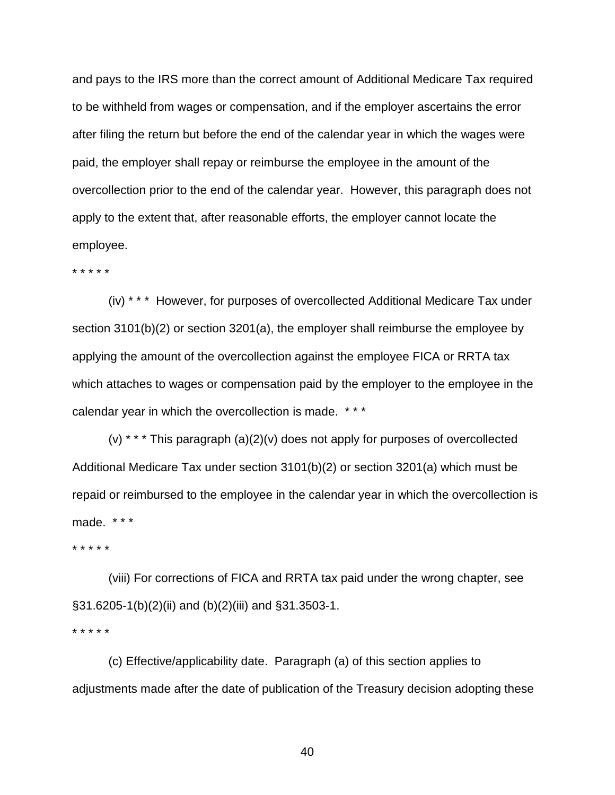and pays to the IRS more than the correct amount of Additional Medicare Tax required to be withheld from wages or compensation, and if the employer ascertains the error after filing the return but before the end of the calendar year in which the wages were paid, the employer shall repay or reimburse the employee in the amount of the overcollection prior to the end of the calendar year. However, this paragraph does not apply to the extent that, after reasonable efforts, the employer cannot locate the employee.

\* \* \* \* \*

 (iv) \* \* \* However, for purposes of overcollected Additional Medicare Tax under section 3101(b)(2) or section 3201(a), the employer shall reimburse the employee by applying the amount of the overcollection against the employee FICA or RRTA tax which attaches to wages or compensation paid by the employer to the employee in the calendar year in which the overcollection is made. \* \* \*

 (v) \* \* \* This paragraph (a)(2)(v) does not apply for purposes of overcollected Additional Medicare Tax under section 3101(b)(2) or section 3201(a) which must be repaid or reimbursed to the employee in the calendar year in which the overcollection is made. \* \* \*

\* \* \* \* \*

 (viii) For corrections of FICA and RRTA tax paid under the wrong chapter, see §31.6205-1(b)(2)(ii) and (b)(2)(iii) and §31.3503-1. \* \* \* \* \*

 (c) Effective/applicability date. Paragraph (a) of this section applies to adjustments made after the date of publication of the Treasury decision adopting these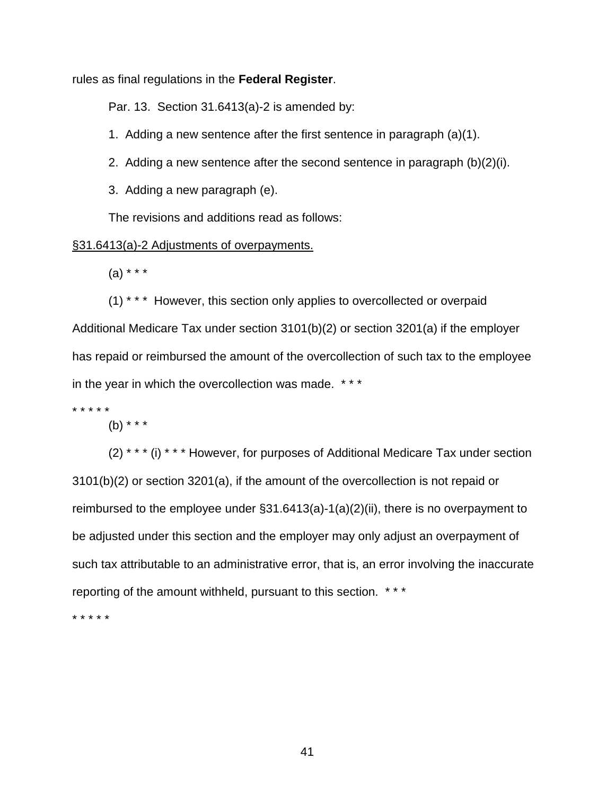rules as final regulations in the **Federal Register**.

Par. 13. Section 31.6413(a)-2 is amended by:

1. Adding a new sentence after the first sentence in paragraph (a)(1).

2. Adding a new sentence after the second sentence in paragraph (b)(2)(i).

3. Adding a new paragraph (e).

The revisions and additions read as follows:

## §31.6413(a)-2 Adjustments of overpayments.

 $(a) * * * *$ 

(1) \* \* \* However, this section only applies to overcollected or overpaid Additional Medicare Tax under section 3101(b)(2) or section 3201(a) if the employer has repaid or reimbursed the amount of the overcollection of such tax to the employee in the year in which the overcollection was made. \* \* \*

\* \* \* \* \*

(b) \* \* \*

 (2) \* \* \* (i) \* \* \* However, for purposes of Additional Medicare Tax under section 3101(b)(2) or section 3201(a), if the amount of the overcollection is not repaid or reimbursed to the employee under §31.6413(a)-1(a)(2)(ii), there is no overpayment to be adjusted under this section and the employer may only adjust an overpayment of such tax attributable to an administrative error, that is, an error involving the inaccurate reporting of the amount withheld, pursuant to this section. \* \* \*

\* \* \* \* \*